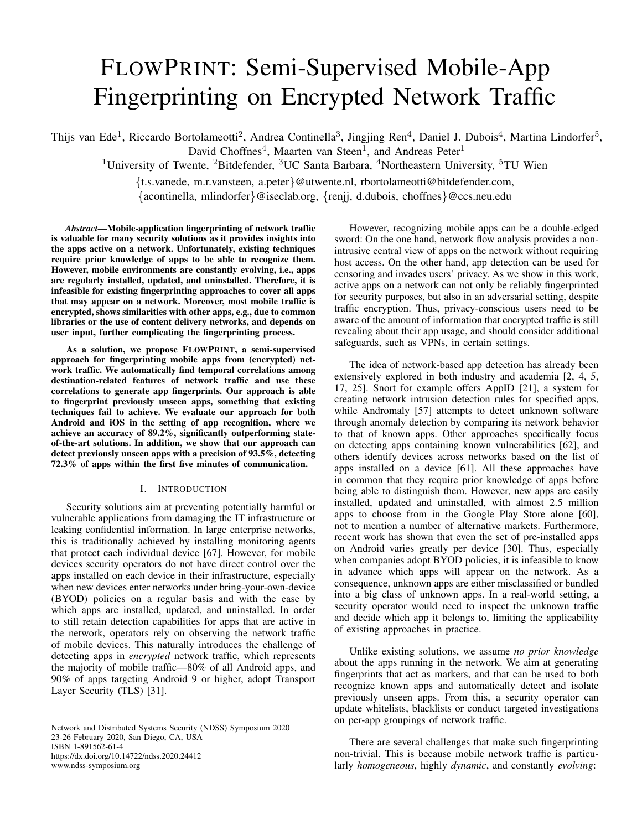# FLOWPRINT: Semi-Supervised Mobile-App Fingerprinting on Encrypted Network Traffic

Thijs van Ede<sup>1</sup>, Riccardo Bortolameotti<sup>2</sup>, Andrea Continella<sup>3</sup>, Jingjing Ren<sup>4</sup>, Daniel J. Dubois<sup>4</sup>, Martina Lindorfer<sup>5</sup>, David Choffnes<sup>4</sup>, Maarten van Steen<sup>1</sup>, and Andreas Peter<sup>1</sup>

<sup>1</sup>University of Twente, <sup>2</sup>Bitdefender, <sup>3</sup>UC Santa Barbara, <sup>4</sup>Northeastern University, <sup>5</sup>TU Wien

{t.s.vanede, m.r.vansteen, a.peter}@utwente.nl, rbortolameotti@bitdefender.com, {acontinella, mlindorfer}@iseclab.org, {renjj, d.dubois, choffnes}@ccs.neu.edu

*Abstract*—Mobile-application fingerprinting of network traffic is valuable for many security solutions as it provides insights into the apps active on a network. Unfortunately, existing techniques require prior knowledge of apps to be able to recognize them. However, mobile environments are constantly evolving, i.e., apps are regularly installed, updated, and uninstalled. Therefore, it is infeasible for existing fingerprinting approaches to cover all apps that may appear on a network. Moreover, most mobile traffic is encrypted, shows similarities with other apps, e.g., due to common libraries or the use of content delivery networks, and depends on user input, further complicating the fingerprinting process.

As a solution, we propose FLOWPRINT, a semi-supervised approach for fingerprinting mobile apps from (encrypted) network traffic. We automatically find temporal correlations among destination-related features of network traffic and use these correlations to generate app fingerprints. Our approach is able to fingerprint previously unseen apps, something that existing techniques fail to achieve. We evaluate our approach for both Android and iOS in the setting of app recognition, where we achieve an accuracy of 89.2%, significantly outperforming stateof-the-art solutions. In addition, we show that our approach can detect previously unseen apps with a precision of 93.5%, detecting 72.3% of apps within the first five minutes of communication.

#### I. INTRODUCTION

<span id="page-0-0"></span>Security solutions aim at preventing potentially harmful or vulnerable applications from damaging the IT infrastructure or leaking confidential information. In large enterprise networks, this is traditionally achieved by installing monitoring agents that protect each individual device [\[67\]](#page-17-0). However, for mobile devices security operators do not have direct control over the apps installed on each device in their infrastructure, especially when new devices enter networks under bring-your-own-device (BYOD) policies on a regular basis and with the ease by which apps are installed, updated, and uninstalled. In order to still retain detection capabilities for apps that are active in the network, operators rely on observing the network traffic of mobile devices. This naturally introduces the challenge of detecting apps in *encrypted* network traffic, which represents the majority of mobile traffic—80% of all Android apps, and 90% of apps targeting Android 9 or higher, adopt Transport Layer Security (TLS) [\[31\]](#page-17-1).

Network and Distributed Systems Security (NDSS) Symposium 2020 23-26 February 2020, San Diego, CA, USA ISBN 1-891562-61-4 https://dx.doi.org/10.14722/ndss.2020.24412 www.ndss-symposium.org

However, recognizing mobile apps can be a double-edged sword: On the one hand, network flow analysis provides a nonintrusive central view of apps on the network without requiring host access. On the other hand, app detection can be used for censoring and invades users' privacy. As we show in this work, active apps on a network can not only be reliably fingerprinted for security purposes, but also in an adversarial setting, despite traffic encryption. Thus, privacy-conscious users need to be aware of the amount of information that encrypted traffic is still revealing about their app usage, and should consider additional safeguards, such as VPNs, in certain settings.

The idea of network-based app detection has already been extensively explored in both industry and academia [\[2,](#page-16-0) [4,](#page-16-1) [5,](#page-16-2) [17,](#page-16-3) [25\]](#page-16-4). Snort for example offers AppID [\[21\]](#page-16-5), a system for creating network intrusion detection rules for specified apps, while Andromaly [\[57\]](#page-17-2) attempts to detect unknown software through anomaly detection by comparing its network behavior to that of known apps. Other approaches specifically focus on detecting apps containing known vulnerabilities [\[62\]](#page-17-3), and others identify devices across networks based on the list of apps installed on a device [\[61\]](#page-17-4). All these approaches have in common that they require prior knowledge of apps before being able to distinguish them. However, new apps are easily installed, updated and uninstalled, with almost 2.5 million apps to choose from in the Google Play Store alone [\[60\]](#page-17-5), not to mention a number of alternative markets. Furthermore, recent work has shown that even the set of pre-installed apps on Android varies greatly per device [\[30\]](#page-17-6). Thus, especially when companies adopt BYOD policies, it is infeasible to know in advance which apps will appear on the network. As a consequence, unknown apps are either misclassified or bundled into a big class of unknown apps. In a real-world setting, a security operator would need to inspect the unknown traffic and decide which app it belongs to, limiting the applicability of existing approaches in practice.

Unlike existing solutions, we assume *no prior knowledge* about the apps running in the network. We aim at generating fingerprints that act as markers, and that can be used to both recognize known apps and automatically detect and isolate previously unseen apps. From this, a security operator can update whitelists, blacklists or conduct targeted investigations on per-app groupings of network traffic.

There are several challenges that make such fingerprinting non-trivial. This is because mobile network traffic is particularly *homogeneous*, highly *dynamic*, and constantly *evolving*: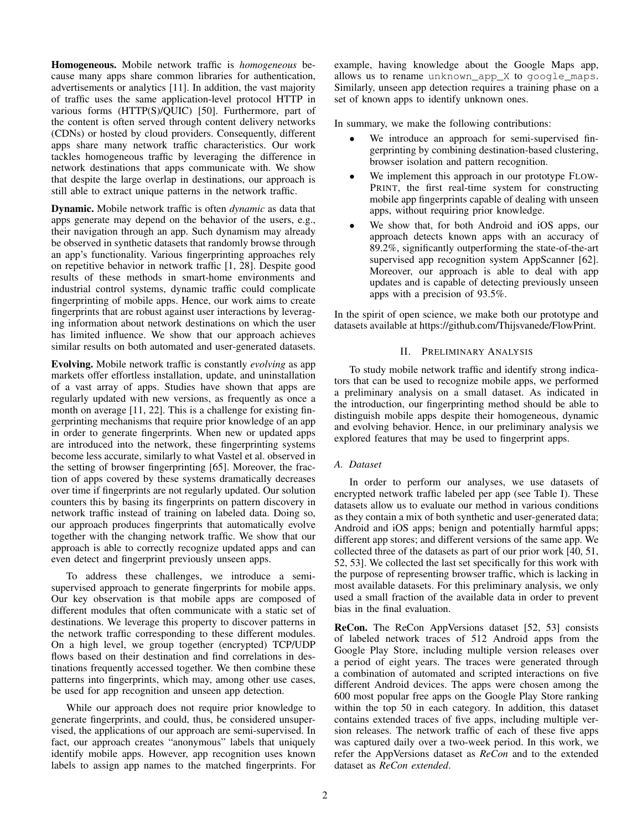Homogeneous. Mobile network traffic is *homogeneous* because many apps share common libraries for authentication, advertisements or analytics [\[11\]](#page-16-6). In addition, the vast majority of traffic uses the same application-level protocol HTTP in various forms (HTTP(S)/QUIC) [\[50\]](#page-17-7). Furthermore, part of the content is often served through content delivery networks (CDNs) or hosted by cloud providers. Consequently, different apps share many network traffic characteristics. Our work tackles homogeneous traffic by leveraging the difference in network destinations that apps communicate with. We show that despite the large overlap in destinations, our approach is still able to extract unique patterns in the network traffic.

Dynamic. Mobile network traffic is often *dynamic* as data that apps generate may depend on the behavior of the users, e.g., their navigation through an app. Such dynamism may already be observed in synthetic datasets that randomly browse through an app's functionality. Various fingerprinting approaches rely on repetitive behavior in network traffic [\[1,](#page-16-7) [28\]](#page-16-8). Despite good results of these methods in smart-home environments and industrial control systems, dynamic traffic could complicate fingerprinting of mobile apps. Hence, our work aims to create fingerprints that are robust against user interactions by leveraging information about network destinations on which the user has limited influence. We show that our approach achieves similar results on both automated and user-generated datasets.

Evolving. Mobile network traffic is constantly *evolving* as app markets offer effortless installation, update, and uninstallation of a vast array of apps. Studies have shown that apps are regularly updated with new versions, as frequently as once a month on average [\[11,](#page-16-6) [22\]](#page-16-9). This is a challenge for existing fingerprinting mechanisms that require prior knowledge of an app in order to generate fingerprints. When new or updated apps are introduced into the network, these fingerprinting systems become less accurate, similarly to what Vastel et al. observed in the setting of browser fingerprinting [\[65\]](#page-17-8). Moreover, the fraction of apps covered by these systems dramatically decreases over time if fingerprints are not regularly updated. Our solution counters this by basing its fingerprints on pattern discovery in network traffic instead of training on labeled data. Doing so, our approach produces fingerprints that automatically evolve together with the changing network traffic. We show that our approach is able to correctly recognize updated apps and can even detect and fingerprint previously unseen apps.

To address these challenges, we introduce a semisupervised approach to generate fingerprints for mobile apps. Our key observation is that mobile apps are composed of different modules that often communicate with a static set of destinations. We leverage this property to discover patterns in the network traffic corresponding to these different modules. On a high level, we group together (encrypted) TCP/UDP flows based on their destination and find correlations in destinations frequently accessed together. We then combine these patterns into fingerprints, which may, among other use cases, be used for app recognition and unseen app detection.

While our approach does not require prior knowledge to generate fingerprints, and could, thus, be considered unsupervised, the applications of our approach are semi-supervised. In fact, our approach creates "anonymous" labels that uniquely identify mobile apps. However, app recognition uses known labels to assign app names to the matched fingerprints. For example, having knowledge about the Google Maps app, allows us to rename unknown app X to google maps. Similarly, unseen app detection requires a training phase on a set of known apps to identify unknown ones.

In summary, we make the following contributions:

- We introduce an approach for semi-supervised fingerprinting by combining destination-based clustering, browser isolation and pattern recognition.
- We implement this approach in our prototype FLOW-PRINT, the first real-time system for constructing mobile app fingerprints capable of dealing with unseen apps, without requiring prior knowledge.
- We show that, for both Android and iOS apps, our approach detects known apps with an accuracy of 89.2%, significantly outperforming the state-of-the-art supervised app recognition system AppScanner [\[62\]](#page-17-3). Moreover, our approach is able to deal with app updates and is capable of detecting previously unseen apps with a precision of 93.5%.

In the spirit of open science, we make both our prototype and datasets available at [https://github.com/Thijsvanede/FlowPrint.](https://github.com/Thijsvanede/FlowPrint)

# II. PRELIMINARY ANALYSIS

To study mobile network traffic and identify strong indicators that can be used to recognize mobile apps, we performed a preliminary analysis on a small dataset. As indicated in the introduction, our fingerprinting method should be able to distinguish mobile apps despite their homogeneous, dynamic and evolving behavior. Hence, in our preliminary analysis we explored features that may be used to fingerprint apps.

# <span id="page-1-0"></span>*A. Dataset*

In order to perform our analyses, we use datasets of encrypted network traffic labeled per app (see Table [I\)](#page-2-0). These datasets allow us to evaluate our method in various conditions as they contain a mix of both synthetic and user-generated data; Android and iOS apps; benign and potentially harmful apps; different app stores; and different versions of the same app. We collected three of the datasets as part of our prior work [\[40,](#page-17-9) [51,](#page-17-10) [52,](#page-17-11) [53\]](#page-17-12). We collected the last set specifically for this work with the purpose of representing browser traffic, which is lacking in most available datasets. For this preliminary analysis, we only used a small fraction of the available data in order to prevent bias in the final evaluation.

ReCon. The ReCon AppVersions dataset [\[52,](#page-17-11) [53\]](#page-17-12) consists of labeled network traces of 512 Android apps from the Google Play Store, including multiple version releases over a period of eight years. The traces were generated through a combination of automated and scripted interactions on five different Android devices. The apps were chosen among the 600 most popular free apps on the Google Play Store ranking within the top 50 in each category. In addition, this dataset contains extended traces of five apps, including multiple version releases. The network traffic of each of these five apps was captured daily over a two-week period. In this work, we refer the AppVersions dataset as *ReCon* and to the extended dataset as *ReCon extended*.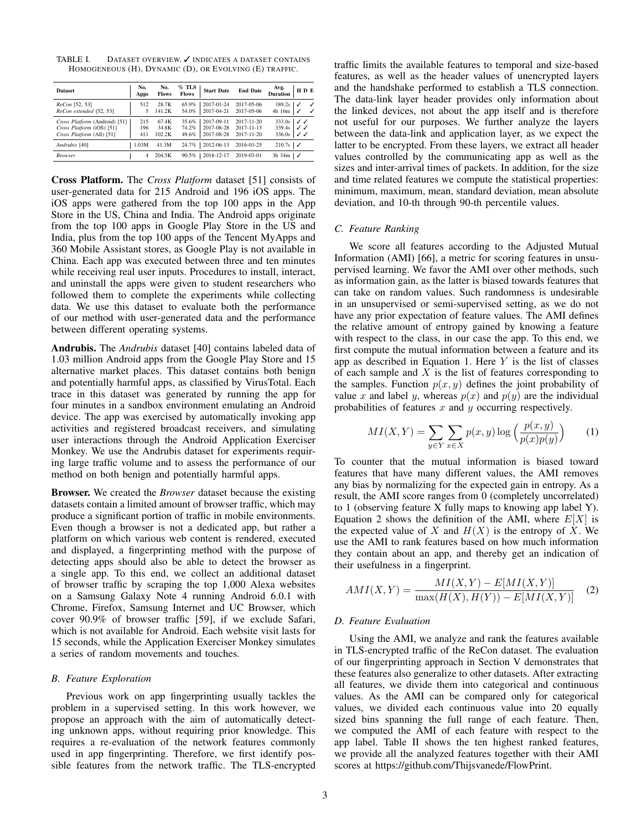<span id="page-2-0"></span>TABLE I. DATASET OVERVIEW. ✓ INDICATES A DATASET CONTAINS HOMOGENEOUS (H), DYNAMIC (D), OR EVOLVING (E) TRAFFIC.

| <b>Dataset</b>                                                                          | No.<br>Apps       | No.<br><b>Flows</b>      | $%$ TLS  <br><b>Flows</b> | <b>Start Date</b>                      | <b>End Date</b>                        | Avg.<br><b>Duration</b>    | <b>HDE</b>     |
|-----------------------------------------------------------------------------------------|-------------------|--------------------------|---------------------------|----------------------------------------|----------------------------------------|----------------------------|----------------|
| ReCon [52, 53]<br>ReCon extended [52, 53]                                               | 512<br>5          | 28.7K<br>141.2K          | 65.9%<br>54.0%            | 2017-01-24<br>2017-04-21               | 2017-05-06<br>2017-05-06               | 189.2s<br>4h 16m           | ✓<br>৴         |
| Cross Platform (Android) [51]<br>Cross Platform (iOS) [51]<br>Cross Platform (All) [51] | 215<br>196<br>411 | 67.4K<br>34.8K<br>102.2K | 35.6%<br>74.2%<br>49.6%   | 2017-09-11<br>2017-08-28<br>2017-08-28 | 2017-11-20<br>2017-11-13<br>2017-11-20 | 333.0s<br>339.4s<br>336.0s | ✓✓<br>ノノ<br>✓✓ |
| Andrubis [40]                                                                           | 1.03M             | 41.3M                    | 24.7%                     | 2012-06-13                             | 2016-03-25                             | 210.7s $\vert \checkmark$  |                |
| <b>Browser</b>                                                                          | 4                 | 204.5K                   | 90.5%                     | 2018-12-17                             | 2019-03-01                             | 3h 34m $\sqrt{ }$          |                |

Cross Platform. The *Cross Platform* dataset [\[51\]](#page-17-10) consists of user-generated data for 215 Android and 196 iOS apps. The iOS apps were gathered from the top 100 apps in the App Store in the US, China and India. The Android apps originate from the top 100 apps in Google Play Store in the US and India, plus from the top 100 apps of the Tencent MyApps and 360 Mobile Assistant stores, as Google Play is not available in China. Each app was executed between three and ten minutes while receiving real user inputs. Procedures to install, interact, and uninstall the apps were given to student researchers who followed them to complete the experiments while collecting data. We use this dataset to evaluate both the performance of our method with user-generated data and the performance between different operating systems.

Andrubis. The *Andrubis* dataset [\[40\]](#page-17-9) contains labeled data of 1.03 million Android apps from the Google Play Store and 15 alternative market places. This dataset contains both benign and potentially harmful apps, as classified by VirusTotal. Each trace in this dataset was generated by running the app for four minutes in a sandbox environment emulating an Android device. The app was exercised by automatically invoking app activities and registered broadcast receivers, and simulating user interactions through the Android Application Exerciser Monkey. We use the Andrubis dataset for experiments requiring large traffic volume and to assess the performance of our method on both benign and potentially harmful apps.

Browser. We created the *Browser* dataset because the existing datasets contain a limited amount of browser traffic, which may produce a significant portion of traffic in mobile environments. Even though a browser is not a dedicated app, but rather a platform on which various web content is rendered, executed and displayed, a fingerprinting method with the purpose of detecting apps should also be able to detect the browser as a single app. To this end, we collect an additional dataset of browser traffic by scraping the top 1,000 Alexa websites on a Samsung Galaxy Note 4 running Android 6.0.1 with Chrome, Firefox, Samsung Internet and UC Browser, which cover 90.9% of browser traffic [\[59\]](#page-17-13), if we exclude Safari, which is not available for Android. Each website visit lasts for 15 seconds, while the Application Exerciser Monkey simulates a series of random movements and touches.

#### *B. Feature Exploration*

Previous work on app fingerprinting usually tackles the problem in a supervised setting. In this work however, we propose an approach with the aim of automatically detecting unknown apps, without requiring prior knowledge. This requires a re-evaluation of the network features commonly used in app fingerprinting. Therefore, we first identify possible features from the network traffic. The TLS-encrypted traffic limits the available features to temporal and size-based features, as well as the header values of unencrypted layers and the handshake performed to establish a TLS connection. The data-link layer header provides only information about the linked devices, not about the app itself and is therefore not useful for our purposes. We further analyze the layers between the data-link and application layer, as we expect the latter to be encrypted. From these layers, we extract all header values controlled by the communicating app as well as the sizes and inter-arrival times of packets. In addition, for the size and time related features we compute the statistical properties: minimum, maximum, mean, standard deviation, mean absolute deviation, and 10-th through 90-th percentile values.

#### *C. Feature Ranking*

We score all features according to the Adjusted Mutual Information (AMI) [\[66\]](#page-17-14), a metric for scoring features in unsupervised learning. We favor the AMI over other methods, such as information gain, as the latter is biased towards features that can take on random values. Such randomness is undesirable in an unsupervised or semi-supervised setting, as we do not have any prior expectation of feature values. The AMI defines the relative amount of entropy gained by knowing a feature with respect to the class, in our case the app. To this end, we first compute the mutual information between a feature and its app as described in Equation [1.](#page-2-1) Here  $Y$  is the list of classes of each sample and  $X$  is the list of features corresponding to the samples. Function  $p(x, y)$  defines the joint probability of value x and label y, whereas  $p(x)$  and  $p(y)$  are the individual probabilities of features  $x$  and  $y$  occurring respectively.

<span id="page-2-1"></span>
$$
MI(X,Y) = \sum_{y \in Y} \sum_{x \in X} p(x,y) \log \left( \frac{p(x,y)}{p(x)p(y)} \right) \qquad (1)
$$

To counter that the mutual information is biased toward features that have many different values, the AMI removes any bias by normalizing for the expected gain in entropy. As a result, the AMI score ranges from 0 (completely uncorrelated) to 1 (observing feature X fully maps to knowing app label Y). Equation [2](#page-2-2) shows the definition of the AMI, where  $E[X]$  is the expected value of X and  $H(X)$  is the entropy of X. We use the AMI to rank features based on how much information they contain about an app, and thereby get an indication of their usefulness in a fingerprint.

<span id="page-2-2"></span>
$$
AMI(X, Y) = \frac{MI(X, Y) - E[MI(X, Y)]}{\max(H(X), H(Y)) - E[MI(X, Y)]}
$$
(2)

## *D. Feature Evaluation*

Using the AMI, we analyze and rank the features available in TLS-encrypted traffic of the ReCon dataset. The evaluation of our fingerprinting approach in Section [V](#page-6-0) demonstrates that these features also generalize to other datasets. After extracting all features, we divide them into categorical and continuous values. As the AMI can be compared only for categorical values, we divided each continuous value into 20 equally sized bins spanning the full range of each feature. Then, we computed the AMI of each feature with respect to the app label. Table [II](#page-3-0) shows the ten highest ranked features, we provide all the analyzed features together with their AMI scores at [https://github.com/Thijsvanede/FlowPrint.](https://github.com/Thijsvanede/FlowPrint)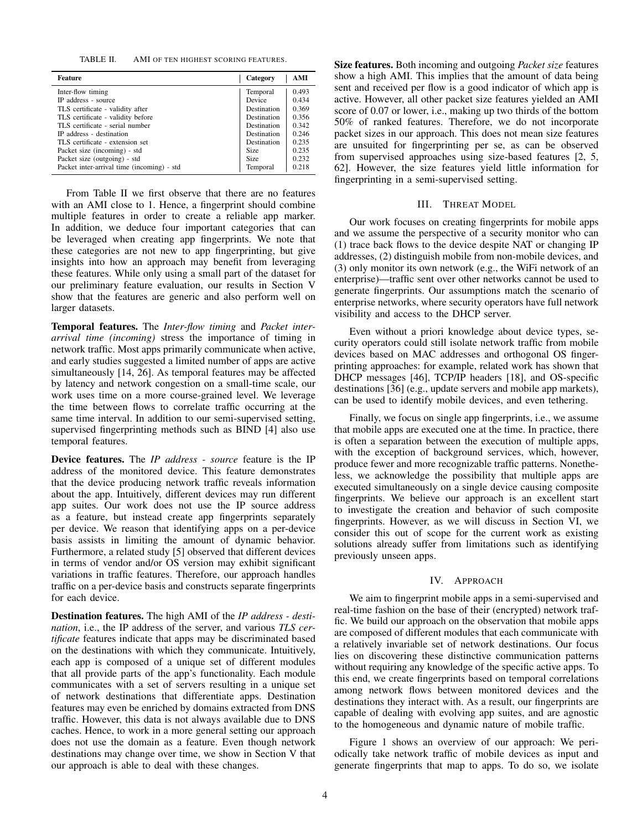<span id="page-3-0"></span>TABLE II. AMI OF TEN HIGHEST SCORING FEATURES.

| <b>Feature</b>                             | Category    | AMI   |
|--------------------------------------------|-------------|-------|
|                                            |             |       |
| Inter-flow timing                          | Temporal    | 0.493 |
| IP address - source                        | Device      | 0.434 |
| TLS certificate - validity after           | Destination | 0.369 |
| TLS certificate - validity before          | Destination | 0.356 |
| TLS certificate - serial number            | Destination | 0.342 |
| IP address - destination                   | Destination | 0.246 |
| TLS certificate - extension set            | Destination | 0.235 |
| Packet size (incoming) - std               | Size        | 0.235 |
| Packet size (outgoing) - std               | <b>Size</b> | 0.232 |
| Packet inter-arrival time (incoming) - std | Temporal    | 0.218 |

From Table [II](#page-3-0) we first observe that there are no features with an AMI close to 1. Hence, a fingerprint should combine multiple features in order to create a reliable app marker. In addition, we deduce four important categories that can be leveraged when creating app fingerprints. We note that these categories are not new to app fingerprinting, but give insights into how an approach may benefit from leveraging these features. While only using a small part of the dataset for our preliminary feature evaluation, our results in Section [V](#page-6-0) show that the features are generic and also perform well on larger datasets.

Temporal features. The *Inter-flow timing* and *Packet interarrival time (incoming)* stress the importance of timing in network traffic. Most apps primarily communicate when active, and early studies suggested a limited number of apps are active simultaneously [\[14,](#page-16-10) [26\]](#page-16-11). As temporal features may be affected by latency and network congestion on a small-time scale, our work uses time on a more course-grained level. We leverage the time between flows to correlate traffic occurring at the same time interval. In addition to our semi-supervised setting, supervised fingerprinting methods such as BIND [\[4\]](#page-16-1) also use temporal features.

Device features. The *IP address - source* feature is the IP address of the monitored device. This feature demonstrates that the device producing network traffic reveals information about the app. Intuitively, different devices may run different app suites. Our work does not use the IP source address as a feature, but instead create app fingerprints separately per device. We reason that identifying apps on a per-device basis assists in limiting the amount of dynamic behavior. Furthermore, a related study [\[5\]](#page-16-2) observed that different devices in terms of vendor and/or OS version may exhibit significant variations in traffic features. Therefore, our approach handles traffic on a per-device basis and constructs separate fingerprints for each device.

Destination features. The high AMI of the *IP address - destination*, i.e., the IP address of the server, and various *TLS certificate* features indicate that apps may be discriminated based on the destinations with which they communicate. Intuitively, each app is composed of a unique set of different modules that all provide parts of the app's functionality. Each module communicates with a set of servers resulting in a unique set of network destinations that differentiate apps. Destination features may even be enriched by domains extracted from DNS traffic. However, this data is not always available due to DNS caches. Hence, to work in a more general setting our approach does not use the domain as a feature. Even though network destinations may change over time, we show in Section [V](#page-6-0) that our approach is able to deal with these changes.

Size features. Both incoming and outgoing *Packet size* features show a high AMI. This implies that the amount of data being sent and received per flow is a good indicator of which app is active. However, all other packet size features yielded an AMI score of 0.07 or lower, i.e., making up two thirds of the bottom 50% of ranked features. Therefore, we do not incorporate packet sizes in our approach. This does not mean size features are unsuited for fingerprinting per se, as can be observed from supervised approaches using size-based features [\[2,](#page-16-0) [5,](#page-16-2) [62\]](#page-17-3). However, the size features yield little information for fingerprinting in a semi-supervised setting.

#### III. THREAT MODEL

Our work focuses on creating fingerprints for mobile apps and we assume the perspective of a security monitor who can (1) trace back flows to the device despite NAT or changing IP addresses, (2) distinguish mobile from non-mobile devices, and (3) only monitor its own network (e.g., the WiFi network of an enterprise)—traffic sent over other networks cannot be used to generate fingerprints. Our assumptions match the scenario of enterprise networks, where security operators have full network visibility and access to the DHCP server.

Even without a priori knowledge about device types, security operators could still isolate network traffic from mobile devices based on MAC addresses and orthogonal OS fingerprinting approaches: for example, related work has shown that DHCP messages [\[46\]](#page-17-15), TCP/IP headers [\[18\]](#page-16-12), and OS-specific destinations [\[36\]](#page-17-16) (e.g., update servers and mobile app markets), can be used to identify mobile devices, and even tethering.

Finally, we focus on single app fingerprints, i.e., we assume that mobile apps are executed one at the time. In practice, there is often a separation between the execution of multiple apps, with the exception of background services, which, however, produce fewer and more recognizable traffic patterns. Nonetheless, we acknowledge the possibility that multiple apps are executed simultaneously on a single device causing composite fingerprints. We believe our approach is an excellent start to investigate the creation and behavior of such composite fingerprints. However, as we will discuss in Section [VI,](#page-14-0) we consider this out of scope for the current work as existing solutions already suffer from limitations such as identifying previously unseen apps.

#### IV. APPROACH

<span id="page-3-1"></span>We aim to fingerprint mobile apps in a semi-supervised and real-time fashion on the base of their (encrypted) network traffic. We build our approach on the observation that mobile apps are composed of different modules that each communicate with a relatively invariable set of network destinations. Our focus lies on discovering these distinctive communication patterns without requiring any knowledge of the specific active apps. To this end, we create fingerprints based on temporal correlations among network flows between monitored devices and the destinations they interact with. As a result, our fingerprints are capable of dealing with evolving app suites, and are agnostic to the homogeneous and dynamic nature of mobile traffic.

Figure [1](#page-4-0) shows an overview of our approach: We periodically take network traffic of mobile devices as input and generate fingerprints that map to apps. To do so, we isolate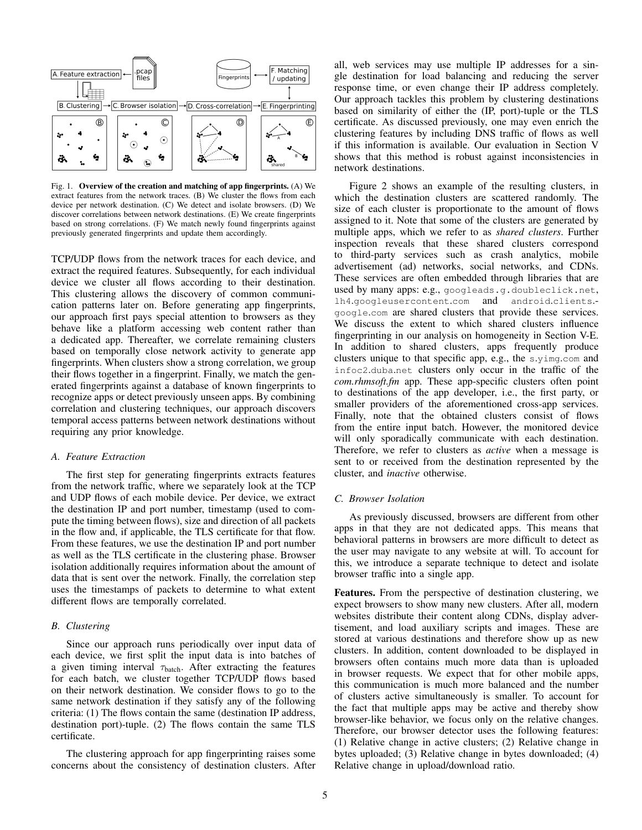

<span id="page-4-0"></span>Fig. 1. Overview of the creation and matching of app fingerprints. (A) We extract features from the network traces. (B) We cluster the flows from each device per network destination. (C) We detect and isolate browsers. (D) We discover correlations between network destinations. (E) We create fingerprints based on strong correlations. (F) We match newly found fingerprints against previously generated fingerprints and update them accordingly.

TCP/UDP flows from the network traces for each device, and extract the required features. Subsequently, for each individual device we cluster all flows according to their destination. This clustering allows the discovery of common communication patterns later on. Before generating app fingerprints, our approach first pays special attention to browsers as they behave like a platform accessing web content rather than a dedicated app. Thereafter, we correlate remaining clusters based on temporally close network activity to generate app fingerprints. When clusters show a strong correlation, we group their flows together in a fingerprint. Finally, we match the generated fingerprints against a database of known fingerprints to recognize apps or detect previously unseen apps. By combining correlation and clustering techniques, our approach discovers temporal access patterns between network destinations without requiring any prior knowledge.

## *A. Feature Extraction*

The first step for generating fingerprints extracts features from the network traffic, where we separately look at the TCP and UDP flows of each mobile device. Per device, we extract the destination IP and port number, timestamp (used to compute the timing between flows), size and direction of all packets in the flow and, if applicable, the TLS certificate for that flow. From these features, we use the destination IP and port number as well as the TLS certificate in the clustering phase. Browser isolation additionally requires information about the amount of data that is sent over the network. Finally, the correlation step uses the timestamps of packets to determine to what extent different flows are temporally correlated.

## <span id="page-4-1"></span>*B. Clustering*

Since our approach runs periodically over input data of each device, we first split the input data is into batches of a given timing interval  $\tau_{batch}$ . After extracting the features for each batch, we cluster together TCP/UDP flows based on their network destination. We consider flows to go to the same network destination if they satisfy any of the following criteria: (1) The flows contain the same (destination IP address, destination port)-tuple. (2) The flows contain the same TLS certificate.

The clustering approach for app fingerprinting raises some concerns about the consistency of destination clusters. After all, web services may use multiple IP addresses for a single destination for load balancing and reducing the server response time, or even change their IP address completely. Our approach tackles this problem by clustering destinations based on similarity of either the (IP, port)-tuple or the TLS certificate. As discussed previously, one may even enrich the clustering features by including DNS traffic of flows as well if this information is available. Our evaluation in Section [V](#page-6-0) shows that this method is robust against inconsistencies in network destinations.

Figure [2](#page-5-0) shows an example of the resulting clusters, in which the destination clusters are scattered randomly. The size of each cluster is proportionate to the amount of flows assigned to it. Note that some of the clusters are generated by multiple apps, which we refer to as *shared clusters*. Further inspection reveals that these shared clusters correspond to third-party services such as crash analytics, mobile advertisement (ad) networks, social networks, and CDNs. These services are often embedded through libraries that are used by many apps: e.g., googleads.g.doubleclick.net, lh4.googleusercontent.com and android.clients. google.com are shared clusters that provide these services. We discuss the extent to which shared clusters influence fingerprinting in our analysis on homogeneity in Section [V-E.](#page-10-0) In addition to shared clusters, apps frequently produce clusters unique to that specific app, e.g., the s.yimg.com and infoc2.duba.net clusters only occur in the traffic of the *com.rhmsoft.fm* app. These app-specific clusters often point to destinations of the app developer, i.e., the first party, or smaller providers of the aforementioned cross-app services. Finally, note that the obtained clusters consist of flows from the entire input batch. However, the monitored device will only sporadically communicate with each destination. Therefore, we refer to clusters as *active* when a message is sent to or received from the destination represented by the cluster, and *inactive* otherwise.

## *C. Browser Isolation*

As previously discussed, browsers are different from other apps in that they are not dedicated apps. This means that behavioral patterns in browsers are more difficult to detect as the user may navigate to any website at will. To account for this, we introduce a separate technique to detect and isolate browser traffic into a single app.

Features. From the perspective of destination clustering, we expect browsers to show many new clusters. After all, modern websites distribute their content along CDNs, display advertisement, and load auxiliary scripts and images. These are stored at various destinations and therefore show up as new clusters. In addition, content downloaded to be displayed in browsers often contains much more data than is uploaded in browser requests. We expect that for other mobile apps, this communication is much more balanced and the number of clusters active simultaneously is smaller. To account for the fact that multiple apps may be active and thereby show browser-like behavior, we focus only on the relative changes. Therefore, our browser detector uses the following features: (1) Relative change in active clusters; (2) Relative change in bytes uploaded; (3) Relative change in bytes downloaded; (4) Relative change in upload/download ratio.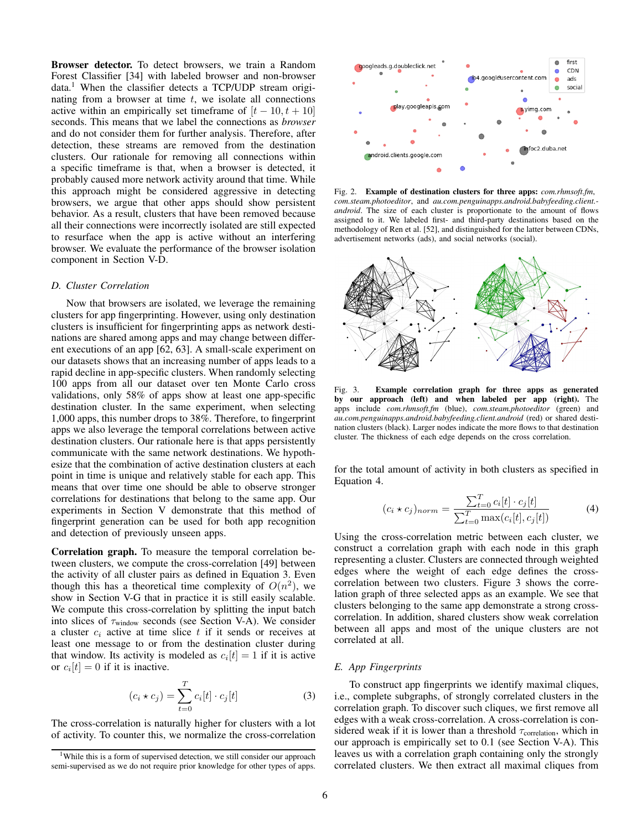Browser detector. To detect browsers, we train a Random Forest Classifier [\[34\]](#page-17-17) with labeled browser and non-browser data.<sup>[1](#page-5-1)</sup> When the classifier detects a TCP/UDP stream originating from a browser at time  $t$ , we isolate all connections active within an empirically set timeframe of  $[t - 10, t + 10]$ seconds. This means that we label the connections as *browser* and do not consider them for further analysis. Therefore, after detection, these streams are removed from the destination clusters. Our rationale for removing all connections within a specific timeframe is that, when a browser is detected, it probably caused more network activity around that time. While this approach might be considered aggressive in detecting browsers, we argue that other apps should show persistent behavior. As a result, clusters that have been removed because all their connections were incorrectly isolated are still expected to resurface when the app is active without an interfering browser. We evaluate the performance of the browser isolation component in Section [V-D.](#page-9-0)

#### *D. Cluster Correlation*

Now that browsers are isolated, we leverage the remaining clusters for app fingerprinting. However, using only destination clusters is insufficient for fingerprinting apps as network destinations are shared among apps and may change between different executions of an app [\[62,](#page-17-3) [63\]](#page-17-18). A small-scale experiment on our datasets shows that an increasing number of apps leads to a rapid decline in app-specific clusters. When randomly selecting 100 apps from all our dataset over ten Monte Carlo cross validations, only 58% of apps show at least one app-specific destination cluster. In the same experiment, when selecting 1,000 apps, this number drops to 38%. Therefore, to fingerprint apps we also leverage the temporal correlations between active destination clusters. Our rationale here is that apps persistently communicate with the same network destinations. We hypothesize that the combination of active destination clusters at each point in time is unique and relatively stable for each app. This means that over time one should be able to observe stronger correlations for destinations that belong to the same app. Our experiments in Section [V](#page-6-0) demonstrate that this method of fingerprint generation can be used for both app recognition and detection of previously unseen apps.

Correlation graph. To measure the temporal correlation between clusters, we compute the cross-correlation [\[49\]](#page-17-19) between the activity of all cluster pairs as defined in Equation [3.](#page-5-2) Even though this has a theoretical time complexity of  $O(n^2)$ , we show in Section [V-G](#page-13-0) that in practice it is still easily scalable. We compute this cross-correlation by splitting the input batch into slices of  $\tau_{window}$  seconds (see Section [V-A\)](#page-6-1). We consider a cluster  $c_i$  active at time slice t if it sends or receives at least one message to or from the destination cluster during that window. Its activity is modeled as  $c_i[t] = 1$  if it is active or  $c_i[t] = 0$  if it is inactive.

<span id="page-5-2"></span>
$$
(c_i \star c_j) = \sum_{t=0}^{T} c_i[t] \cdot c_j[t]
$$
 (3)

The cross-correlation is naturally higher for clusters with a lot of activity. To counter this, we normalize the cross-correlation



<span id="page-5-0"></span>Fig. 2. Example of destination clusters for three apps: *com.rhmsoft.fm*, *com.steam.photoeditor*, and *au.com.penguinapps.android.babyfeeding.client. android*. The size of each cluster is proportionate to the amount of flows assigned to it. We labeled first- and third-party destinations based on the methodology of Ren et al. [\[52\]](#page-17-11), and distinguished for the latter between CDNs, advertisement networks (ads), and social networks (social).



<span id="page-5-4"></span>Fig. 3. Example correlation graph for three apps as generated by our approach (left) and when labeled per app (right). The apps include *com.rhmsoft.fm* (blue), *com.steam.photoeditor* (green) and *au.com.penguinapps.android.babyfeeding.client.android* (red) or shared destination clusters (black). Larger nodes indicate the more flows to that destination cluster. The thickness of each edge depends on the cross correlation.

for the total amount of activity in both clusters as specified in Equation [4.](#page-5-3)

<span id="page-5-3"></span>
$$
(c_i \star c_j)_{norm} = \frac{\sum_{t=0}^{T} c_i[t] \cdot c_j[t]}{\sum_{t=0}^{T} \max(c_i[t], c_j[t])}
$$
(4)

Using the cross-correlation metric between each cluster, we construct a correlation graph with each node in this graph representing a cluster. Clusters are connected through weighted edges where the weight of each edge defines the crosscorrelation between two clusters. Figure [3](#page-5-4) shows the correlation graph of three selected apps as an example. We see that clusters belonging to the same app demonstrate a strong crosscorrelation. In addition, shared clusters show weak correlation between all apps and most of the unique clusters are not correlated at all.

## *E. App Fingerprints*

To construct app fingerprints we identify maximal cliques, i.e., complete subgraphs, of strongly correlated clusters in the correlation graph. To discover such cliques, we first remove all edges with a weak cross-correlation. A cross-correlation is considered weak if it is lower than a threshold  $\tau_{\text{correlation}}$ , which in our approach is empirically set to 0.1 (see Section [V-A\)](#page-6-1). This leaves us with a correlation graph containing only the strongly correlated clusters. We then extract all maximal cliques from

<span id="page-5-1"></span><sup>&</sup>lt;sup>1</sup>While this is a form of supervised detection, we still consider our approach semi-supervised as we do not require prior knowledge for other types of apps.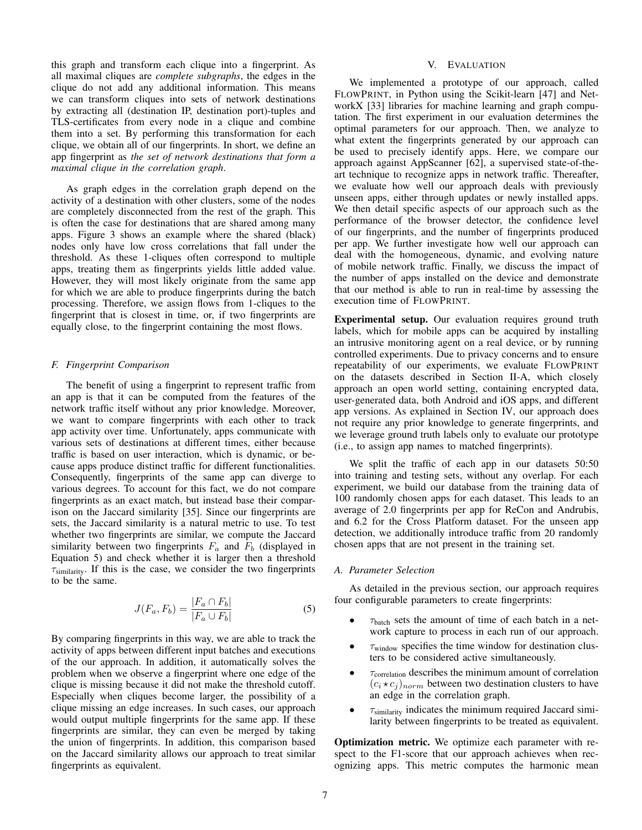this graph and transform each clique into a fingerprint. As all maximal cliques are *complete subgraphs*, the edges in the clique do not add any additional information. This means we can transform cliques into sets of network destinations by extracting all (destination IP, destination port)-tuples and TLS-certificates from every node in a clique and combine them into a set. By performing this transformation for each clique, we obtain all of our fingerprints. In short, we define an app fingerprint as *the set of network destinations that form a maximal clique in the correlation graph*.

As graph edges in the correlation graph depend on the activity of a destination with other clusters, some of the nodes are completely disconnected from the rest of the graph. This is often the case for destinations that are shared among many apps. Figure [3](#page-5-4) shows an example where the shared (black) nodes only have low cross correlations that fall under the threshold. As these 1-cliques often correspond to multiple apps, treating them as fingerprints yields little added value. However, they will most likely originate from the same app for which we are able to produce fingerprints during the batch processing. Therefore, we assign flows from 1-cliques to the fingerprint that is closest in time, or, if two fingerprints are equally close, to the fingerprint containing the most flows.

#### <span id="page-6-3"></span>*F. Fingerprint Comparison*

The benefit of using a fingerprint to represent traffic from an app is that it can be computed from the features of the network traffic itself without any prior knowledge. Moreover, we want to compare fingerprints with each other to track app activity over time. Unfortunately, apps communicate with various sets of destinations at different times, either because traffic is based on user interaction, which is dynamic, or because apps produce distinct traffic for different functionalities. Consequently, fingerprints of the same app can diverge to various degrees. To account for this fact, we do not compare fingerprints as an exact match, but instead base their comparison on the Jaccard similarity [\[35\]](#page-17-20). Since our fingerprints are sets, the Jaccard similarity is a natural metric to use. To test whether two fingerprints are similar, we compute the Jaccard similarity between two fingerprints  $F_a$  and  $F_b$  (displayed in Equation [5\)](#page-6-2) and check whether it is larger then a threshold  $\tau_{\text{similarity}}$ . If this is the case, we consider the two fingerprints to be the same.

<span id="page-6-2"></span>
$$
J(F_a, F_b) = \frac{|F_a \cap F_b|}{|F_a \cup F_b|} \tag{5}
$$

By comparing fingerprints in this way, we are able to track the activity of apps between different input batches and executions of the our approach. In addition, it automatically solves the problem when we observe a fingerprint where one edge of the clique is missing because it did not make the threshold cutoff. Especially when cliques become larger, the possibility of a clique missing an edge increases. In such cases, our approach would output multiple fingerprints for the same app. If these fingerprints are similar, they can even be merged by taking the union of fingerprints. In addition, this comparison based on the Jaccard similarity allows our approach to treat similar fingerprints as equivalent.

## V. EVALUATION

<span id="page-6-0"></span>We implemented a prototype of our approach, called FLOWPRINT, in Python using the Scikit-learn [\[47\]](#page-17-21) and NetworkX [\[33\]](#page-17-22) libraries for machine learning and graph computation. The first experiment in our evaluation determines the optimal parameters for our approach. Then, we analyze to what extent the fingerprints generated by our approach can be used to precisely identify apps. Here, we compare our approach against AppScanner [\[62\]](#page-17-3), a supervised state-of-theart technique to recognize apps in network traffic. Thereafter, we evaluate how well our approach deals with previously unseen apps, either through updates or newly installed apps. We then detail specific aspects of our approach such as the performance of the browser detector, the confidence level of our fingerprints, and the number of fingerprints produced per app. We further investigate how well our approach can deal with the homogeneous, dynamic, and evolving nature of mobile network traffic. Finally, we discuss the impact of the number of apps installed on the device and demonstrate that our method is able to run in real-time by assessing the execution time of FLOWPRINT.

Experimental setup. Our evaluation requires ground truth labels, which for mobile apps can be acquired by installing an intrusive monitoring agent on a real device, or by running controlled experiments. Due to privacy concerns and to ensure repeatability of our experiments, we evaluate FLOWPRINT on the datasets described in Section [II-A,](#page-1-0) which closely approach an open world setting, containing encrypted data, user-generated data, both Android and iOS apps, and different app versions. As explained in Section [IV,](#page-3-1) our approach does not require any prior knowledge to generate fingerprints, and we leverage ground truth labels only to evaluate our prototype (i.e., to assign app names to matched fingerprints).

We split the traffic of each app in our datasets 50:50 into training and testing sets, without any overlap. For each experiment, we build our database from the training data of 100 randomly chosen apps for each dataset. This leads to an average of 2.0 fingerprints per app for ReCon and Andrubis, and 6.2 for the Cross Platform dataset. For the unseen app detection, we additionally introduce traffic from 20 randomly chosen apps that are not present in the training set.

#### <span id="page-6-1"></span>*A. Parameter Selection*

As detailed in the previous section, our approach requires four configurable parameters to create fingerprints:

- $\bullet$   $\tau_{\text{batch}}$  sets the amount of time of each batch in a network capture to process in each run of our approach.
- $\tau_{window}$  specifies the time window for destination clusters to be considered active simultaneously.
- $\tau$ <sub>correlation</sub> describes the minimum amount of correlation</sub>  $(c_i \star c_j)_{norm}$  between two destination clusters to have an edge in the correlation graph.
- $\bullet$   $\tau_{\text{similarity}}$  indicates the minimum required Jaccard similarity between fingerprints to be treated as equivalent.

Optimization metric. We optimize each parameter with respect to the F1-score that our approach achieves when recognizing apps. This metric computes the harmonic mean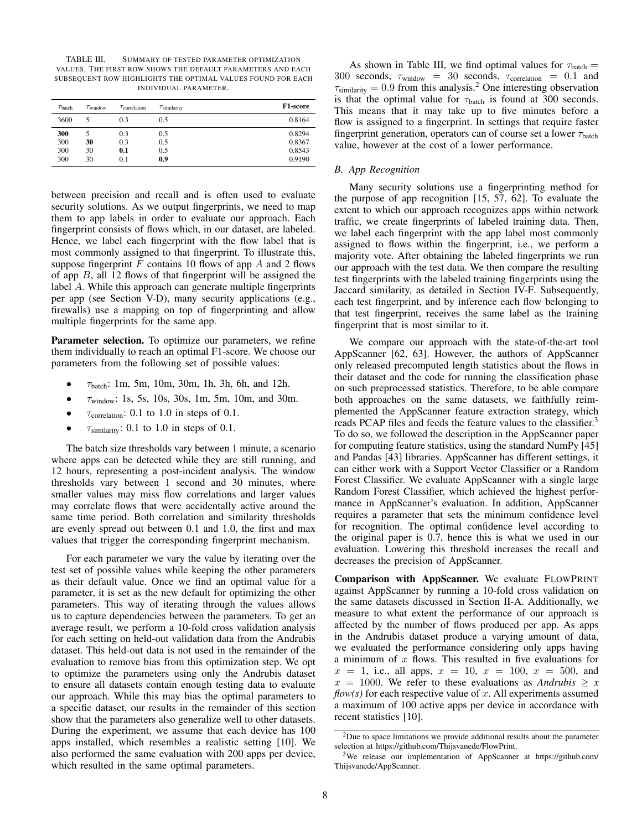<span id="page-7-0"></span>TABLE III. SUMMARY OF TESTED PARAMETER OPTIMIZATION VALUES. THE FIRST ROW SHOWS THE DEFAULT PARAMETERS AND EACH SUBSEQUENT ROW HIGHLIGHTS THE OPTIMAL VALUES FOUND FOR EACH INDIVIDUAL PARAMETER.

| $\tau_{\text{batch}}$    | $\tau_{\text{window}}$ | $\tau$ correlation       | $\tau$ similarity        | <b>F1-score</b>                      |
|--------------------------|------------------------|--------------------------|--------------------------|--------------------------------------|
| 3600                     |                        | 0.3                      | 0.5                      | 0.8164                               |
| 300<br>300<br>300<br>300 | 30<br>30<br>30         | 0.3<br>0.3<br>0.1<br>0.1 | 0.5<br>0.5<br>0.5<br>0.9 | 0.8294<br>0.8367<br>0.8543<br>0.9190 |

between precision and recall and is often used to evaluate security solutions. As we output fingerprints, we need to map them to app labels in order to evaluate our approach. Each fingerprint consists of flows which, in our dataset, are labeled. Hence, we label each fingerprint with the flow label that is most commonly assigned to that fingerprint. To illustrate this, suppose fingerprint  $F$  contains 10 flows of app  $A$  and 2 flows of app  $B$ , all 12 flows of that fingerprint will be assigned the label A. While this approach can generate multiple fingerprints per app (see Section [V-D\)](#page-10-1), many security applications (e.g., firewalls) use a mapping on top of fingerprinting and allow multiple fingerprints for the same app.

Parameter selection. To optimize our parameters, we refine them individually to reach an optimal F1-score. We choose our parameters from the following set of possible values:

- $\tau_{\text{batch}}$ : 1m, 5m, 10m, 30m, 1h, 3h, 6h, and 12h.
- $\tau_{window}$ : 1s, 5s, 10s, 30s, 1m, 5m, 10m, and 30m.
- $\tau_{\text{correlation}}$ : 0.1 to 1.0 in steps of 0.1.
- $\tau_{\text{similarity}}$ : 0.1 to 1.0 in steps of 0.1.

The batch size thresholds vary between 1 minute, a scenario where apps can be detected while they are still running, and 12 hours, representing a post-incident analysis. The window thresholds vary between 1 second and 30 minutes, where smaller values may miss flow correlations and larger values may correlate flows that were accidentally active around the same time period. Both correlation and similarity thresholds are evenly spread out between 0.1 and 1.0, the first and max values that trigger the corresponding fingerprint mechanism.

For each parameter we vary the value by iterating over the test set of possible values while keeping the other parameters as their default value. Once we find an optimal value for a parameter, it is set as the new default for optimizing the other parameters. This way of iterating through the values allows us to capture dependencies between the parameters. To get an average result, we perform a 10-fold cross validation analysis for each setting on held-out validation data from the Andrubis dataset. This held-out data is not used in the remainder of the evaluation to remove bias from this optimization step. We opt to optimize the parameters using only the Andrubis dataset to ensure all datasets contain enough testing data to evaluate our approach. While this may bias the optimal parameters to a specific dataset, our results in the remainder of this section show that the parameters also generalize well to other datasets. During the experiment, we assume that each device has 100 apps installed, which resembles a realistic setting [\[10\]](#page-16-13). We also performed the same evaluation with 200 apps per device, which resulted in the same optimal parameters.

As shown in Table [III,](#page-7-0) we find optimal values for  $\tau_{\text{batch}} =$ 300 seconds,  $\tau_{window}$  = 30 seconds,  $\tau_{correlation}$  = 0.1 and  $\tau_{\text{similarity}} = 0.9$  from this analysis.<sup>[2](#page-7-1)</sup> One interesting observation is that the optimal value for  $\tau_{\text{batch}}$  is found at 300 seconds. This means that it may take up to five minutes before a flow is assigned to a fingerprint. In settings that require faster fingerprint generation, operators can of course set a lower  $\tau_{\text{batch}}$ value, however at the cost of a lower performance.

## <span id="page-7-3"></span>*B. App Recognition*

Many security solutions use a fingerprinting method for the purpose of app recognition [\[15,](#page-16-14) [57,](#page-17-2) [62\]](#page-17-3). To evaluate the extent to which our approach recognizes apps within network traffic, we create fingerprints of labeled training data. Then, we label each fingerprint with the app label most commonly assigned to flows within the fingerprint, i.e., we perform a majority vote. After obtaining the labeled fingerprints we run our approach with the test data. We then compare the resulting test fingerprints with the labeled training fingerprints using the Jaccard similarity, as detailed in Section [IV-F.](#page-6-3) Subsequently, each test fingerprint, and by inference each flow belonging to that test fingerprint, receives the same label as the training fingerprint that is most similar to it.

We compare our approach with the state-of-the-art tool AppScanner [\[62,](#page-17-3) [63\]](#page-17-18). However, the authors of AppScanner only released precomputed length statistics about the flows in their dataset and the code for running the classification phase on such preprocessed statistics. Therefore, to be able compare both approaches on the same datasets, we faithfully reimplemented the AppScanner feature extraction strategy, which reads PCAP files and feeds the feature values to the classifier.<sup>[3](#page-7-2)</sup> To do so, we followed the description in the AppScanner paper for computing feature statistics, using the standard NumPy [\[45\]](#page-17-23) and Pandas [\[43\]](#page-17-24) libraries. AppScanner has different settings, it can either work with a Support Vector Classifier or a Random Forest Classifier. We evaluate AppScanner with a single large Random Forest Classifier, which achieved the highest performance in AppScanner's evaluation. In addition, AppScanner requires a parameter that sets the minimum confidence level for recognition. The optimal confidence level according to the original paper is 0.7, hence this is what we used in our evaluation. Lowering this threshold increases the recall and decreases the precision of AppScanner.

Comparison with AppScanner. We evaluate FLOWPRINT against AppScanner by running a 10-fold cross validation on the same datasets discussed in Section [II-A.](#page-1-0) Additionally, we measure to what extent the performance of our approach is affected by the number of flows produced per app. As apps in the Andrubis dataset produce a varying amount of data, we evaluated the performance considering only apps having a minimum of  $x$  flows. This resulted in five evaluations for  $x = 1$ , i.e., all apps,  $x = 10$ ,  $x = 100$ ,  $x = 500$ , and  $x = 1000$ . We refer to these evaluations as *Andrubis*  $\geq x$  $flow(s)$  for each respective value of x. All experiments assumed a maximum of 100 active apps per device in accordance with recent statistics [\[10\]](#page-16-13).

<span id="page-7-1"></span><sup>&</sup>lt;sup>2</sup>Due to space limitations we provide additional results about the parameter selection at [https://github.com/Thijsvanede/FlowPrint.](https://github.com/Thijsvanede/FlowPrint)

<span id="page-7-2"></span><sup>&</sup>lt;sup>3</sup>We release our implementation of AppScanner at [https://github.com/](https://github.com/Thijsvanede/AppScanner) [Thijsvanede/AppScanner.](https://github.com/Thijsvanede/AppScanner)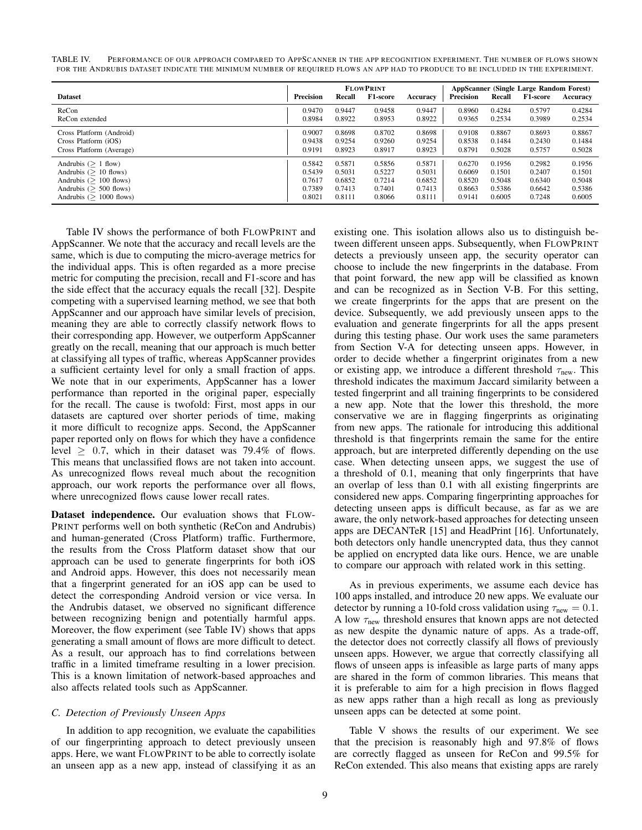|                           |           |        | <b>FLOWPRINT</b> |          |                  |        | AppScanner (Single Large Random Forest) |          |
|---------------------------|-----------|--------|------------------|----------|------------------|--------|-----------------------------------------|----------|
| <b>Dataset</b>            | Precision | Recall | F1-score         | Accuracy | <b>Precision</b> | Recall | <b>F1-score</b>                         | Accuracy |
| ReCon                     | 0.9470    | 0.9447 | 0.9458           | 0.9447   | 0.8960           | 0.4284 | 0.5797                                  | 0.4284   |
| ReCon extended            | 0.8984    | 0.8922 | 0.8953           | 0.8922   | 0.9365           | 0.2534 | 0.3989                                  | 0.2534   |
| Cross Platform (Android)  | 0.9007    | 0.8698 | 0.8702           | 0.8698   | 0.9108           | 0.8867 | 0.8693                                  | 0.8867   |
| Cross Platform (iOS)      | 0.9438    | 0.9254 | 0.9260           | 0.9254   | 0.8538           | 0.1484 | 0.2430                                  | 0.1484   |
| Cross Platform (Average)  | 0.9191    | 0.8923 | 0.8917           | 0.8923   | 0.8791           | 0.5028 | 0.5757                                  | 0.5028   |
| Andrubis $(> 1$ flow)     | 0.5842    | 0.5871 | 0.5856           | 0.5871   | 0.6270           | 0.1956 | 0.2982                                  | 0.1956   |
| Andrubis $(> 10$ flows)   | 0.5439    | 0.5031 | 0.5227           | 0.5031   | 0.6069           | 0.1501 | 0.2407                                  | 0.1501   |
| Andrubis $(> 100$ flows)  | 0.7617    | 0.6852 | 0.7214           | 0.6852   | 0.8520           | 0.5048 | 0.6340                                  | 0.5048   |
| Andrubis ( $>$ 500 flows) | 0.7389    | 0.7413 | 0.7401           | 0.7413   | 0.8663           | 0.5386 | 0.6642                                  | 0.5386   |
| Andrubis $(> 1000$ flows) | 0.8021    | 0.8111 | 0.8066           | 0.8111   | 0.9141           | 0.6005 | 0.7248                                  | 0.6005   |

<span id="page-8-0"></span>TABLE IV. PERFORMANCE OF OUR APPROACH COMPARED TO APPSCANNER IN THE APP RECOGNITION EXPERIMENT. THE NUMBER OF FLOWS SHOWN FOR THE ANDRUBIS DATASET INDICATE THE MINIMUM NUMBER OF REQUIRED FLOWS AN APP HAD TO PRODUCE TO BE INCLUDED IN THE EXPERIMENT.

Table [IV](#page-8-0) shows the performance of both FLOWPRINT and AppScanner. We note that the accuracy and recall levels are the same, which is due to computing the micro-average metrics for the individual apps. This is often regarded as a more precise metric for computing the precision, recall and F1-score and has the side effect that the accuracy equals the recall [\[32\]](#page-17-25). Despite competing with a supervised learning method, we see that both AppScanner and our approach have similar levels of precision, meaning they are able to correctly classify network flows to their corresponding app. However, we outperform AppScanner greatly on the recall, meaning that our approach is much better at classifying all types of traffic, whereas AppScanner provides a sufficient certainty level for only a small fraction of apps. We note that in our experiments, AppScanner has a lower performance than reported in the original paper, especially for the recall. The cause is twofold: First, most apps in our datasets are captured over shorter periods of time, making it more difficult to recognize apps. Second, the AppScanner paper reported only on flows for which they have a confidence level  $\geq$  0.7, which in their dataset was 79.4% of flows. This means that unclassified flows are not taken into account. As unrecognized flows reveal much about the recognition approach, our work reports the performance over all flows, where unrecognized flows cause lower recall rates.

Dataset independence. Our evaluation shows that FLOW-PRINT performs well on both synthetic (ReCon and Andrubis) and human-generated (Cross Platform) traffic. Furthermore, the results from the Cross Platform dataset show that our approach can be used to generate fingerprints for both iOS and Android apps. However, this does not necessarily mean that a fingerprint generated for an iOS app can be used to detect the corresponding Android version or vice versa. In the Andrubis dataset, we observed no significant difference between recognizing benign and potentially harmful apps. Moreover, the flow experiment (see Table [IV\)](#page-8-0) shows that apps generating a small amount of flows are more difficult to detect. As a result, our approach has to find correlations between traffic in a limited timeframe resulting in a lower precision. This is a known limitation of network-based approaches and also affects related tools such as AppScanner.

## <span id="page-8-1"></span>*C. Detection of Previously Unseen Apps*

In addition to app recognition, we evaluate the capabilities of our fingerprinting approach to detect previously unseen apps. Here, we want FLOWPRINT to be able to correctly isolate an unseen app as a new app, instead of classifying it as an existing one. This isolation allows also us to distinguish between different unseen apps. Subsequently, when FLOWPRINT detects a previously unseen app, the security operator can choose to include the new fingerprints in the database. From that point forward, the new app will be classified as known and can be recognized as in Section [V-B.](#page-7-3) For this setting, we create fingerprints for the apps that are present on the device. Subsequently, we add previously unseen apps to the evaluation and generate fingerprints for all the apps present during this testing phase. Our work uses the same parameters from Section [V-A](#page-6-1) for detecting unseen apps. However, in order to decide whether a fingerprint originates from a new or existing app, we introduce a different threshold  $\tau_{\text{new}}$ . This threshold indicates the maximum Jaccard similarity between a tested fingerprint and all training fingerprints to be considered a new app. Note that the lower this threshold, the more conservative we are in flagging fingerprints as originating from new apps. The rationale for introducing this additional threshold is that fingerprints remain the same for the entire approach, but are interpreted differently depending on the use case. When detecting unseen apps, we suggest the use of a threshold of 0.1, meaning that only fingerprints that have an overlap of less than 0.1 with all existing fingerprints are considered new apps. Comparing fingerprinting approaches for detecting unseen apps is difficult because, as far as we are aware, the only network-based approaches for detecting unseen apps are DECANTeR [\[15\]](#page-16-14) and HeadPrint [\[16\]](#page-16-15). Unfortunately, both detectors only handle unencrypted data, thus they cannot be applied on encrypted data like ours. Hence, we are unable to compare our approach with related work in this setting.

As in previous experiments, we assume each device has 100 apps installed, and introduce 20 new apps. We evaluate our detector by running a 10-fold cross validation using  $\tau_{\text{new}} = 0.1$ . A low  $\tau_{\text{new}}$  threshold ensures that known apps are not detected as new despite the dynamic nature of apps. As a trade-off, the detector does not correctly classify all flows of previously unseen apps. However, we argue that correctly classifying all flows of unseen apps is infeasible as large parts of many apps are shared in the form of common libraries. This means that it is preferable to aim for a high precision in flows flagged as new apps rather than a high recall as long as previously unseen apps can be detected at some point.

Table [V](#page-9-1) shows the results of our experiment. We see that the precision is reasonably high and 97.8% of flows are correctly flagged as unseen for ReCon and 99.5% for ReCon extended. This also means that existing apps are rarely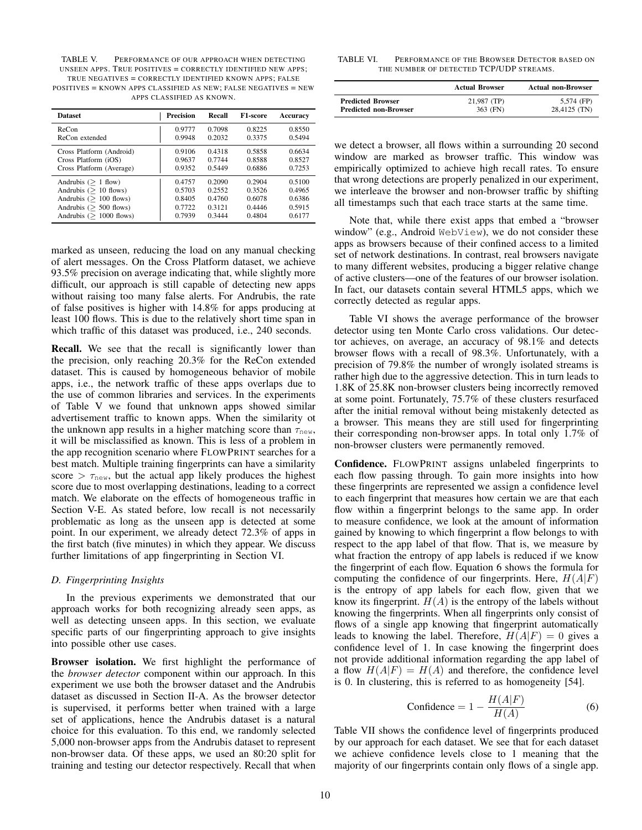<span id="page-9-1"></span>TABLE V. PERFORMANCE OF OUR APPROACH WHEN DETECTING UNSEEN APPS. TRUE POSITIVES = CORRECTLY IDENTIFIED NEW APPS; TRUE NEGATIVES = CORRECTLY IDENTIFIED KNOWN APPS; FALSE POSITIVES = KNOWN APPS CLASSIFIED AS NEW; FALSE NEGATIVES = NEW APPS CLASSIFIED AS KNOWN.

| <b>Dataset</b>            | <b>Precision</b> | Recall | F1-score | Accuracy |
|---------------------------|------------------|--------|----------|----------|
| ReCon                     | 0.9777           | 0.7098 | 0.8225   | 0.8550   |
| ReCon extended            | 0.9948           | 0.2032 | 0.3375   | 0.5494   |
| Cross Platform (Android)  | 0.9106           | 0.4318 | 0.5858   | 0.6634   |
| Cross Platform (iOS)      | 0.9637           | 0.7744 | 0.8588   | 0.8527   |
| Cross Platform (Average)  | 0.9352           | 0.5449 | 0.6886   | 0.7253   |
| Andrubis $(> 1$ flow)     | 0.4757           | 0.2090 | 0.2904   | 0.5100   |
| Andrubis ( $> 10$ flows)  | 0.5703           | 0.2552 | 0.3526   | 0.4965   |
| Andrubis ( $> 100$ flows) | 0.8405           | 0.4760 | 0.6078   | 0.6386   |
| Andrubis $($ > 500 flows) | 0.7722           | 0.3121 | 0.4446   | 0.5915   |
| Andrubis $(> 1000$ flows) | 0.7939           | 0.3444 | 0.4804   | 0.6177   |

marked as unseen, reducing the load on any manual checking of alert messages. On the Cross Platform dataset, we achieve 93.5% precision on average indicating that, while slightly more difficult, our approach is still capable of detecting new apps without raising too many false alerts. For Andrubis, the rate of false positives is higher with 14.8% for apps producing at least 100 flows. This is due to the relatively short time span in which traffic of this dataset was produced, i.e., 240 seconds.

Recall. We see that the recall is significantly lower than the precision, only reaching 20.3% for the ReCon extended dataset. This is caused by homogeneous behavior of mobile apps, i.e., the network traffic of these apps overlaps due to the use of common libraries and services. In the experiments of Table [V](#page-9-1) we found that unknown apps showed similar advertisement traffic to known apps. When the similarity ot the unknown app results in a higher matching score than  $\tau_{\text{new}}$ , it will be misclassified as known. This is less of a problem in the app recognition scenario where FLOWPRINT searches for a best match. Multiple training fingerprints can have a similarity score  $> \tau_{\text{new}}$ , but the actual app likely produces the highest score due to most overlapping destinations, leading to a correct match. We elaborate on the effects of homogeneous traffic in Section [V-E.](#page-10-0) As stated before, low recall is not necessarily problematic as long as the unseen app is detected at some point. In our experiment, we already detect 72.3% of apps in the first batch (five minutes) in which they appear. We discuss further limitations of app fingerprinting in Section [VI.](#page-14-0)

## <span id="page-9-0"></span>*D. Fingerprinting Insights*

In the previous experiments we demonstrated that our approach works for both recognizing already seen apps, as well as detecting unseen apps. In this section, we evaluate specific parts of our fingerprinting approach to give insights into possible other use cases.

Browser isolation. We first highlight the performance of the *browser detector* component within our approach. In this experiment we use both the browser dataset and the Andrubis dataset as discussed in Section [II-A.](#page-1-0) As the browser detector is supervised, it performs better when trained with a large set of applications, hence the Andrubis dataset is a natural choice for this evaluation. To this end, we randomly selected 5,000 non-browser apps from the Andrubis dataset to represent non-browser data. Of these apps, we used an 80:20 split for training and testing our detector respectively. Recall that when

<span id="page-9-2"></span>

| TABLE VI. |  |  | PERFORMANCE OF THE BROWSER DETECTOR BASED ON |  |
|-----------|--|--|----------------------------------------------|--|
|           |  |  | THE NUMBER OF DETECTED TCP/UDP STREAMS.      |  |

|                              | <b>Actual Browser</b> | <b>Actual non-Browser</b> |
|------------------------------|-----------------------|---------------------------|
| <b>Predicted Browser</b>     | 21.987 (TP)           | 5,574 (FP)                |
| <b>Predicted non-Browser</b> | 363 (FN)              | 28.4125 (TN)              |

we detect a browser, all flows within a surrounding 20 second window are marked as browser traffic. This window was empirically optimized to achieve high recall rates. To ensure that wrong detections are properly penalized in our experiment, we interleave the browser and non-browser traffic by shifting all timestamps such that each trace starts at the same time.

Note that, while there exist apps that embed a "browser window" (e.g., Android WebView), we do not consider these apps as browsers because of their confined access to a limited set of network destinations. In contrast, real browsers navigate to many different websites, producing a bigger relative change of active clusters—one of the features of our browser isolation. In fact, our datasets contain several HTML5 apps, which we correctly detected as regular apps.

Table [VI](#page-9-2) shows the average performance of the browser detector using ten Monte Carlo cross validations. Our detector achieves, on average, an accuracy of 98.1% and detects browser flows with a recall of 98.3%. Unfortunately, with a precision of 79.8% the number of wrongly isolated streams is rather high due to the aggressive detection. This in turn leads to 1.8K of 25.8K non-browser clusters being incorrectly removed at some point. Fortunately, 75.7% of these clusters resurfaced after the initial removal without being mistakenly detected as a browser. This means they are still used for fingerprinting their corresponding non-browser apps. In total only 1.7% of non-browser clusters were permanently removed.

Confidence. FLOWPRINT assigns unlabeled fingerprints to each flow passing through. To gain more insights into how these fingerprints are represented we assign a confidence level to each fingerprint that measures how certain we are that each flow within a fingerprint belongs to the same app. In order to measure confidence, we look at the amount of information gained by knowing to which fingerprint a flow belongs to with respect to the app label of that flow. That is, we measure by what fraction the entropy of app labels is reduced if we know the fingerprint of each flow. Equation [6](#page-9-3) shows the formula for computing the confidence of our fingerprints. Here,  $H(A|F)$ is the entropy of app labels for each flow, given that we know its fingerprint.  $H(A)$  is the entropy of the labels without knowing the fingerprints. When all fingerprints only consist of flows of a single app knowing that fingerprint automatically leads to knowing the label. Therefore,  $H(A|F) = 0$  gives a confidence level of 1. In case knowing the fingerprint does not provide additional information regarding the app label of a flow  $H(A|F) = H(A)$  and therefore, the confidence level is 0. In clustering, this is referred to as homogeneity [\[54\]](#page-17-26).

<span id="page-9-3"></span>
$$
Confidence = 1 - \frac{H(A|F)}{H(A)}
$$
 (6)

Table [VII](#page-10-1) shows the confidence level of fingerprints produced by our approach for each dataset. We see that for each dataset we achieve confidence levels close to 1 meaning that the majority of our fingerprints contain only flows of a single app.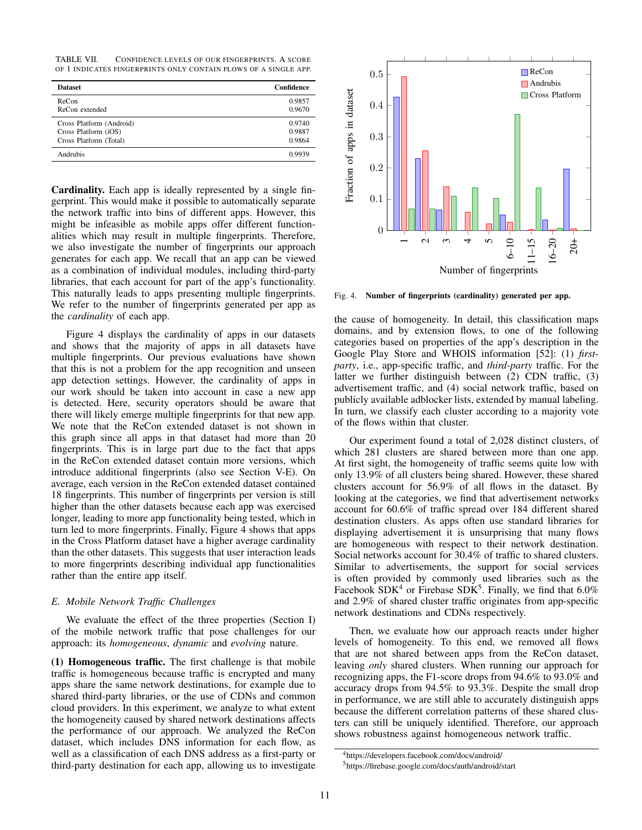<span id="page-10-1"></span>TABLE VII. CONFIDENCE LEVELS OF OUR FINGERPRINTS. A SCORE OF 1 INDICATES FINGERPRINTS ONLY CONTAIN FLOWS OF A SINGLE APP.

| <b>Dataset</b>           | Confidence |
|--------------------------|------------|
| ReCon                    | 0.9857     |
| ReCon extended           | 0.9670     |
| Cross Platform (Android) | 0.9740     |
| Cross Platform (iOS)     | 0.9887     |
| Cross Platform (Total)   | 0.9864     |
| Andrubis                 | 0.9939     |

Cardinality. Each app is ideally represented by a single fingerprint. This would make it possible to automatically separate the network traffic into bins of different apps. However, this might be infeasible as mobile apps offer different functionalities which may result in multiple fingerprints. Therefore, we also investigate the number of fingerprints our approach generates for each app. We recall that an app can be viewed as a combination of individual modules, including third-party libraries, that each account for part of the app's functionality. This naturally leads to apps presenting multiple fingerprints. We refer to the number of fingerprints generated per app as the *cardinality* of each app.

Figure [4](#page-10-2) displays the cardinality of apps in our datasets and shows that the majority of apps in all datasets have multiple fingerprints. Our previous evaluations have shown that this is not a problem for the app recognition and unseen app detection settings. However, the cardinality of apps in our work should be taken into account in case a new app is detected. Here, security operators should be aware that there will likely emerge multiple fingerprints for that new app. We note that the ReCon extended dataset is not shown in this graph since all apps in that dataset had more than 20 fingerprints. This is in large part due to the fact that apps in the ReCon extended dataset contain more versions, which introduce additional fingerprints (also see Section [V-E\)](#page-10-0). On average, each version in the ReCon extended dataset contained 18 fingerprints. This number of fingerprints per version is still higher than the other datasets because each app was exercised longer, leading to more app functionality being tested, which in turn led to more fingerprints. Finally, Figure [4](#page-10-2) shows that apps in the Cross Platform dataset have a higher average cardinality than the other datasets. This suggests that user interaction leads to more fingerprints describing individual app functionalities rather than the entire app itself.

## <span id="page-10-0"></span>*E. Mobile Network Traffic Challenges*

We evaluate the effect of the three properties (Section [I\)](#page-0-0) of the mobile network traffic that pose challenges for our approach: its *homogeneous*, *dynamic* and *evolving* nature.

(1) Homogeneous traffic. The first challenge is that mobile traffic is homogeneous because traffic is encrypted and many apps share the same network destinations, for example due to shared third-party libraries, or the use of CDNs and common cloud providers. In this experiment, we analyze to what extent the homogeneity caused by shared network destinations affects the performance of our approach. We analyzed the ReCon dataset, which includes DNS information for each flow, as well as a classification of each DNS address as a first-party or third-party destination for each app, allowing us to investigate



<span id="page-10-2"></span>Fig. 4. Number of fingerprints (cardinality) generated per app.

the cause of homogeneity. In detail, this classification maps domains, and by extension flows, to one of the following categories based on properties of the app's description in the Google Play Store and WHOIS information [\[52\]](#page-17-11): (1) *firstparty*, i.e., app-specific traffic, and *third-party* traffic. For the latter we further distinguish between (2) CDN traffic, (3) advertisement traffic, and (4) social network traffic, based on publicly available adblocker lists, extended by manual labeling. In turn, we classify each cluster according to a majority vote of the flows within that cluster.

Our experiment found a total of 2,028 distinct clusters, of which 281 clusters are shared between more than one app. At first sight, the homogeneity of traffic seems quite low with only 13.9% of all clusters being shared. However, these shared clusters account for 56.9% of all flows in the dataset. By looking at the categories, we find that advertisement networks account for 60.6% of traffic spread over 184 different shared destination clusters. As apps often use standard libraries for displaying advertisement it is unsurprising that many flows are homogeneous with respect to their network destination. Social networks account for 30.4% of traffic to shared clusters. Similar to advertisements, the support for social services is often provided by commonly used libraries such as the Facebook SDK<sup>[4](#page-10-3)</sup> or Firebase SDK<sup>[5](#page-10-4)</sup>. Finally, we find that 6.0% and 2.9% of shared cluster traffic originates from app-specific network destinations and CDNs respectively.

Then, we evaluate how our approach reacts under higher levels of homogeneity. To this end, we removed all flows that are not shared between apps from the ReCon dataset, leaving *only* shared clusters. When running our approach for recognizing apps, the F1-score drops from 94.6% to 93.0% and accuracy drops from 94.5% to 93.3%. Despite the small drop in performance, we are still able to accurately distinguish apps because the different correlation patterns of these shared clusters can still be uniquely identified. Therefore, our approach shows robustness against homogeneous network traffic.

<span id="page-10-4"></span><span id="page-10-3"></span><sup>4</sup><https://developers.facebook.com/docs/android/>

<sup>5</sup><https://firebase.google.com/docs/auth/android/start>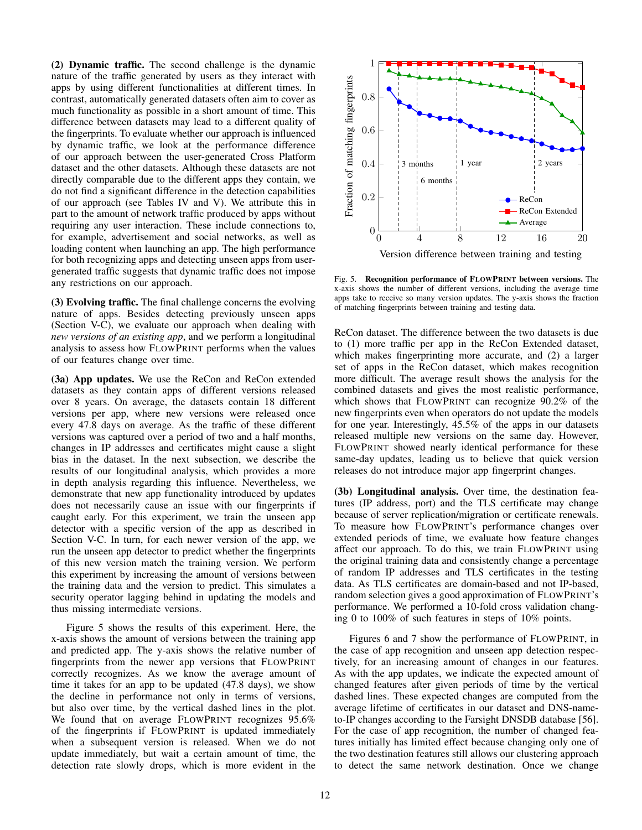(2) Dynamic traffic. The second challenge is the dynamic nature of the traffic generated by users as they interact with apps by using different functionalities at different times. In contrast, automatically generated datasets often aim to cover as much functionality as possible in a short amount of time. This difference between datasets may lead to a different quality of the fingerprints. To evaluate whether our approach is influenced by dynamic traffic, we look at the performance difference of our approach between the user-generated Cross Platform dataset and the other datasets. Although these datasets are not directly comparable due to the different apps they contain, we do not find a significant difference in the detection capabilities of our approach (see Tables [IV](#page-8-0) and [V\)](#page-9-1). We attribute this in part to the amount of network traffic produced by apps without requiring any user interaction. These include connections to, for example, advertisement and social networks, as well as loading content when launching an app. The high performance for both recognizing apps and detecting unseen apps from usergenerated traffic suggests that dynamic traffic does not impose any restrictions on our approach.

(3) Evolving traffic. The final challenge concerns the evolving nature of apps. Besides detecting previously unseen apps (Section [V-C\)](#page-8-1), we evaluate our approach when dealing with *new versions of an existing app*, and we perform a longitudinal analysis to assess how FLOWPRINT performs when the values of our features change over time.

(3a) App updates. We use the ReCon and ReCon extended datasets as they contain apps of different versions released over 8 years. On average, the datasets contain 18 different versions per app, where new versions were released once every 47.8 days on average. As the traffic of these different versions was captured over a period of two and a half months, changes in IP addresses and certificates might cause a slight bias in the dataset. In the next subsection, we describe the results of our longitudinal analysis, which provides a more in depth analysis regarding this influence. Nevertheless, we demonstrate that new app functionality introduced by updates does not necessarily cause an issue with our fingerprints if caught early. For this experiment, we train the unseen app detector with a specific version of the app as described in Section [V-C.](#page-8-1) In turn, for each newer version of the app, we run the unseen app detector to predict whether the fingerprints of this new version match the training version. We perform this experiment by increasing the amount of versions between the training data and the version to predict. This simulates a security operator lagging behind in updating the models and thus missing intermediate versions.

Figure [5](#page-11-0) shows the results of this experiment. Here, the x-axis shows the amount of versions between the training app and predicted app. The y-axis shows the relative number of fingerprints from the newer app versions that FLOWPRINT correctly recognizes. As we know the average amount of time it takes for an app to be updated (47.8 days), we show the decline in performance not only in terms of versions, but also over time, by the vertical dashed lines in the plot. We found that on average FLOWPRINT recognizes 95.6% of the fingerprints if FLOWPRINT is updated immediately when a subsequent version is released. When we do not update immediately, but wait a certain amount of time, the detection rate slowly drops, which is more evident in the



<span id="page-11-0"></span>Version difference between training and testing

Fig. 5. Recognition performance of FLOWPRINT between versions. The x-axis shows the number of different versions, including the average time apps take to receive so many version updates. The y-axis shows the fraction of matching fingerprints between training and testing data.

ReCon dataset. The difference between the two datasets is due to (1) more traffic per app in the ReCon Extended dataset, which makes fingerprinting more accurate, and (2) a larger set of apps in the ReCon dataset, which makes recognition more difficult. The average result shows the analysis for the combined datasets and gives the most realistic performance, which shows that FLOWPRINT can recognize 90.2% of the new fingerprints even when operators do not update the models for one year. Interestingly, 45.5% of the apps in our datasets released multiple new versions on the same day. However, FLOWPRINT showed nearly identical performance for these same-day updates, leading us to believe that quick version releases do not introduce major app fingerprint changes.

(3b) Longitudinal analysis. Over time, the destination features (IP address, port) and the TLS certificate may change because of server replication/migration or certificate renewals. To measure how FLOWPRINT's performance changes over extended periods of time, we evaluate how feature changes affect our approach. To do this, we train FLOWPRINT using the original training data and consistently change a percentage of random IP addresses and TLS certificates in the testing data. As TLS certificates are domain-based and not IP-based, random selection gives a good approximation of FLOWPRINT's performance. We performed a 10-fold cross validation changing 0 to 100% of such features in steps of 10% points.

Figures [6](#page-12-0) and [7](#page-12-1) show the performance of FLOWPRINT, in the case of app recognition and unseen app detection respectively, for an increasing amount of changes in our features. As with the app updates, we indicate the expected amount of changed features after given periods of time by the vertical dashed lines. These expected changes are computed from the average lifetime of certificates in our dataset and DNS-nameto-IP changes according to the Farsight DNSDB database [\[56\]](#page-17-27). For the case of app recognition, the number of changed features initially has limited effect because changing only one of the two destination features still allows our clustering approach to detect the same network destination. Once we change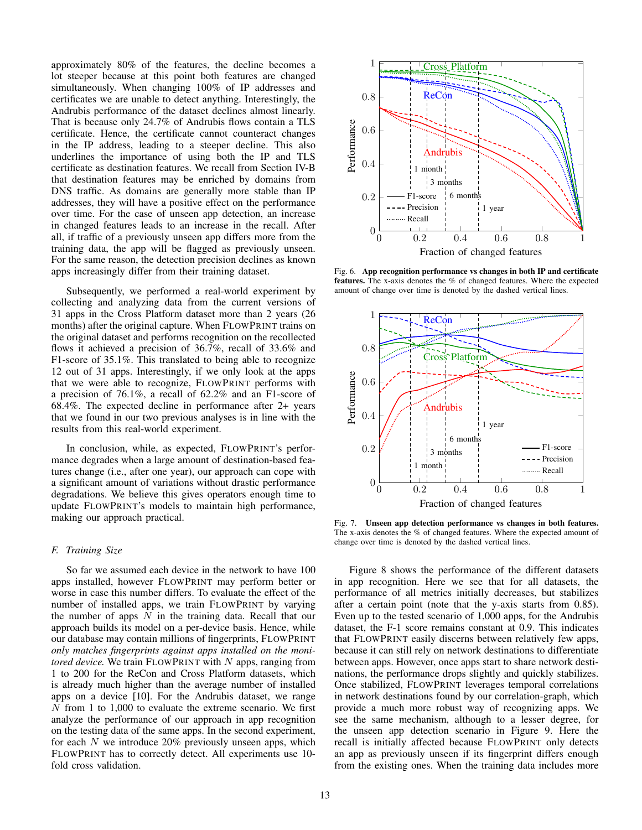approximately 80% of the features, the decline becomes a lot steeper because at this point both features are changed simultaneously. When changing 100% of IP addresses and certificates we are unable to detect anything. Interestingly, the Andrubis performance of the dataset declines almost linearly. That is because only 24.7% of Andrubis flows contain a TLS certificate. Hence, the certificate cannot counteract changes in the IP address, leading to a steeper decline. This also underlines the importance of using both the IP and TLS certificate as destination features. We recall from Section [IV-B](#page-4-1) that destination features may be enriched by domains from DNS traffic. As domains are generally more stable than IP addresses, they will have a positive effect on the performance over time. For the case of unseen app detection, an increase in changed features leads to an increase in the recall. After all, if traffic of a previously unseen app differs more from the training data, the app will be flagged as previously unseen. For the same reason, the detection precision declines as known apps increasingly differ from their training dataset.

Subsequently, we performed a real-world experiment by collecting and analyzing data from the current versions of 31 apps in the Cross Platform dataset more than 2 years (26 months) after the original capture. When FLOWPRINT trains on the original dataset and performs recognition on the recollected flows it achieved a precision of 36.7%, recall of 33.6% and F1-score of 35.1%. This translated to being able to recognize 12 out of 31 apps. Interestingly, if we only look at the apps that we were able to recognize, FLOWPRINT performs with a precision of 76.1%, a recall of 62.2% and an F1-score of 68.4%. The expected decline in performance after 2+ years that we found in our two previous analyses is in line with the results from this real-world experiment.

In conclusion, while, as expected, FLOWPRINT's performance degrades when a large amount of destination-based features change (i.e., after one year), our approach can cope with a significant amount of variations without drastic performance degradations. We believe this gives operators enough time to update FLOWPRINT's models to maintain high performance, making our approach practical.

## *F. Training Size*

So far we assumed each device in the network to have 100 apps installed, however FLOWPRINT may perform better or worse in case this number differs. To evaluate the effect of the number of installed apps, we train FLOWPRINT by varying the number of apps  $N$  in the training data. Recall that our approach builds its model on a per-device basis. Hence, while our database may contain millions of fingerprints, FLOWPRINT *only matches fingerprints against apps installed on the monitored device*. We train FLOWPRINT with  $N$  apps, ranging from 1 to 200 for the ReCon and Cross Platform datasets, which is already much higher than the average number of installed apps on a device [\[10\]](#page-16-13). For the Andrubis dataset, we range  $N$  from 1 to 1,000 to evaluate the extreme scenario. We first analyze the performance of our approach in app recognition on the testing data of the same apps. In the second experiment, for each  $N$  we introduce 20% previously unseen apps, which FLOWPRINT has to correctly detect. All experiments use 10 fold cross validation.



<span id="page-12-0"></span>Fig. 6. App recognition performance vs changes in both IP and certificate features. The x-axis denotes the % of changed features. Where the expected amount of change over time is denoted by the dashed vertical lines.



<span id="page-12-1"></span>Fig. 7. Unseen app detection performance vs changes in both features. The x-axis denotes the % of changed features. Where the expected amount of change over time is denoted by the dashed vertical lines.

Figure [8](#page-13-1) shows the performance of the different datasets in app recognition. Here we see that for all datasets, the performance of all metrics initially decreases, but stabilizes after a certain point (note that the y-axis starts from 0.85). Even up to the tested scenario of 1,000 apps, for the Andrubis dataset, the F-1 score remains constant at 0.9. This indicates that FLOWPRINT easily discerns between relatively few apps, because it can still rely on network destinations to differentiate between apps. However, once apps start to share network destinations, the performance drops slightly and quickly stabilizes. Once stabilized, FLOWPRINT leverages temporal correlations in network destinations found by our correlation-graph, which provide a much more robust way of recognizing apps. We see the same mechanism, although to a lesser degree, for the unseen app detection scenario in Figure [9.](#page-13-2) Here the recall is initially affected because FLOWPRINT only detects an app as previously unseen if its fingerprint differs enough from the existing ones. When the training data includes more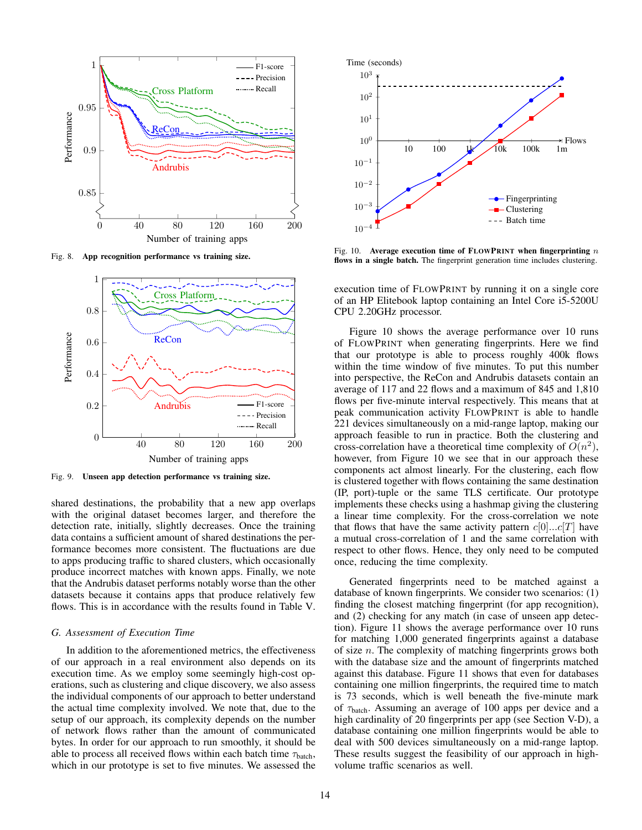

<span id="page-13-1"></span>Fig. 8. App recognition performance vs training size.



<span id="page-13-2"></span>Fig. 9. Unseen app detection performance vs training size.

shared destinations, the probability that a new app overlaps with the original dataset becomes larger, and therefore the detection rate, initially, slightly decreases. Once the training data contains a sufficient amount of shared destinations the performance becomes more consistent. The fluctuations are due to apps producing traffic to shared clusters, which occasionally produce incorrect matches with known apps. Finally, we note that the Andrubis dataset performs notably worse than the other datasets because it contains apps that produce relatively few flows. This is in accordance with the results found in Table [V.](#page-9-1)

#### <span id="page-13-0"></span>*G. Assessment of Execution Time*

In addition to the aforementioned metrics, the effectiveness of our approach in a real environment also depends on its execution time. As we employ some seemingly high-cost operations, such as clustering and clique discovery, we also assess the individual components of our approach to better understand the actual time complexity involved. We note that, due to the setup of our approach, its complexity depends on the number of network flows rather than the amount of communicated bytes. In order for our approach to run smoothly, it should be able to process all received flows within each batch time  $\tau_{\text{batch}}$ , which in our prototype is set to five minutes. We assessed the



<span id="page-13-3"></span>Fig. 10. Average execution time of FLOWPRINT when fingerprinting  $n$ flows in a single batch. The fingerprint generation time includes clustering.

execution time of FLOWPRINT by running it on a single core of an HP Elitebook laptop containing an Intel Core i5-5200U CPU 2.20GHz processor.

Figure [10](#page-13-3) shows the average performance over 10 runs of FLOWPRINT when generating fingerprints. Here we find that our prototype is able to process roughly 400k flows within the time window of five minutes. To put this number into perspective, the ReCon and Andrubis datasets contain an average of 117 and 22 flows and a maximum of 845 and 1,810 flows per five-minute interval respectively. This means that at peak communication activity FLOWPRINT is able to handle 221 devices simultaneously on a mid-range laptop, making our approach feasible to run in practice. Both the clustering and cross-correlation have a theoretical time complexity of  $O(n^2)$ , however, from Figure [10](#page-13-3) we see that in our approach these components act almost linearly. For the clustering, each flow is clustered together with flows containing the same destination (IP, port)-tuple or the same TLS certificate. Our prototype implements these checks using a hashmap giving the clustering a linear time complexity. For the cross-correlation we note that flows that have the same activity pattern  $c[0]...c[T]$  have a mutual cross-correlation of 1 and the same correlation with respect to other flows. Hence, they only need to be computed once, reducing the time complexity.

Generated fingerprints need to be matched against a database of known fingerprints. We consider two scenarios: (1) finding the closest matching fingerprint (for app recognition), and (2) checking for any match (in case of unseen app detection). Figure [11](#page-14-1) shows the average performance over 10 runs for matching 1,000 generated fingerprints against a database of size  $n$ . The complexity of matching fingerprints grows both with the database size and the amount of fingerprints matched against this database. Figure [11](#page-14-1) shows that even for databases containing one million fingerprints, the required time to match is 73 seconds, which is well beneath the five-minute mark of  $\tau_{\text{batch}}$ . Assuming an average of 100 apps per device and a high cardinality of 20 fingerprints per app (see Section [V-D\)](#page-10-1), a database containing one million fingerprints would be able to deal with 500 devices simultaneously on a mid-range laptop. These results suggest the feasibility of our approach in highvolume traffic scenarios as well.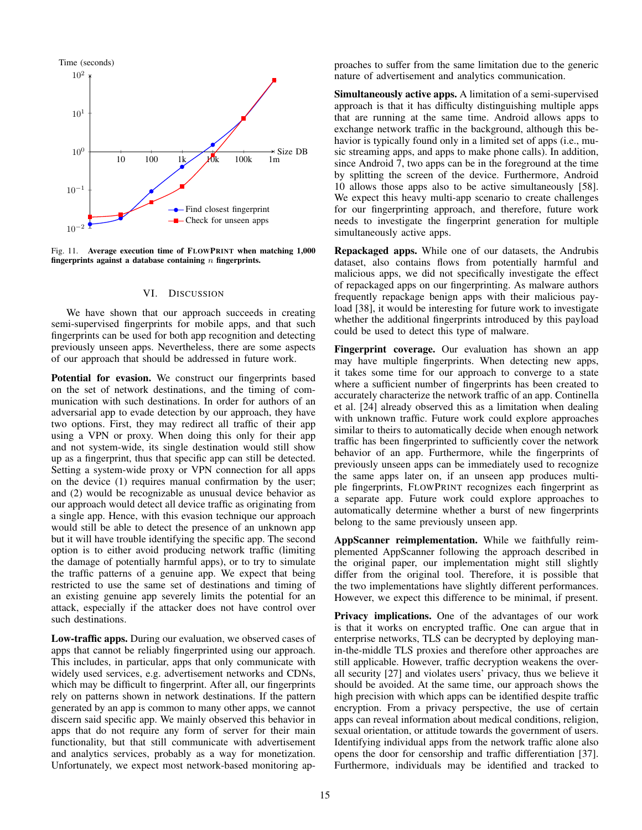

<span id="page-14-1"></span>Fig. 11. Average execution time of FLOWPRINT when matching 1,000 fingerprints against a database containing  $n$  fingerprints.

## VI. DISCUSSION

<span id="page-14-0"></span>We have shown that our approach succeeds in creating semi-supervised fingerprints for mobile apps, and that such fingerprints can be used for both app recognition and detecting previously unseen apps. Nevertheless, there are some aspects of our approach that should be addressed in future work.

Potential for evasion. We construct our fingerprints based on the set of network destinations, and the timing of communication with such destinations. In order for authors of an adversarial app to evade detection by our approach, they have two options. First, they may redirect all traffic of their app using a VPN or proxy. When doing this only for their app and not system-wide, its single destination would still show up as a fingerprint, thus that specific app can still be detected. Setting a system-wide proxy or VPN connection for all apps on the device (1) requires manual confirmation by the user; and (2) would be recognizable as unusual device behavior as our approach would detect all device traffic as originating from a single app. Hence, with this evasion technique our approach would still be able to detect the presence of an unknown app but it will have trouble identifying the specific app. The second option is to either avoid producing network traffic (limiting the damage of potentially harmful apps), or to try to simulate the traffic patterns of a genuine app. We expect that being restricted to use the same set of destinations and timing of an existing genuine app severely limits the potential for an attack, especially if the attacker does not have control over such destinations.

Low-traffic apps. During our evaluation, we observed cases of apps that cannot be reliably fingerprinted using our approach. This includes, in particular, apps that only communicate with widely used services, e.g. advertisement networks and CDNs, which may be difficult to fingerprint. After all, our fingerprints rely on patterns shown in network destinations. If the pattern generated by an app is common to many other apps, we cannot discern said specific app. We mainly observed this behavior in apps that do not require any form of server for their main functionality, but that still communicate with advertisement and analytics services, probably as a way for monetization. Unfortunately, we expect most network-based monitoring approaches to suffer from the same limitation due to the generic nature of advertisement and analytics communication.

Simultaneously active apps. A limitation of a semi-supervised approach is that it has difficulty distinguishing multiple apps that are running at the same time. Android allows apps to exchange network traffic in the background, although this behavior is typically found only in a limited set of apps (i.e., music streaming apps, and apps to make phone calls). In addition, since Android 7, two apps can be in the foreground at the time by splitting the screen of the device. Furthermore, Android 10 allows those apps also to be active simultaneously [\[58\]](#page-17-28). We expect this heavy multi-app scenario to create challenges for our fingerprinting approach, and therefore, future work needs to investigate the fingerprint generation for multiple simultaneously active apps.

Repackaged apps. While one of our datasets, the Andrubis dataset, also contains flows from potentially harmful and malicious apps, we did not specifically investigate the effect of repackaged apps on our fingerprinting. As malware authors frequently repackage benign apps with their malicious payload [\[38\]](#page-17-29), it would be interesting for future work to investigate whether the additional fingerprints introduced by this payload could be used to detect this type of malware.

Fingerprint coverage. Our evaluation has shown an app may have multiple fingerprints. When detecting new apps, it takes some time for our approach to converge to a state where a sufficient number of fingerprints has been created to accurately characterize the network traffic of an app. Continella et al. [\[24\]](#page-16-16) already observed this as a limitation when dealing with unknown traffic. Future work could explore approaches similar to theirs to automatically decide when enough network traffic has been fingerprinted to sufficiently cover the network behavior of an app. Furthermore, while the fingerprints of previously unseen apps can be immediately used to recognize the same apps later on, if an unseen app produces multiple fingerprints, FLOWPRINT recognizes each fingerprint as a separate app. Future work could explore approaches to automatically determine whether a burst of new fingerprints belong to the same previously unseen app.

AppScanner reimplementation. While we faithfully reimplemented AppScanner following the approach described in the original paper, our implementation might still slightly differ from the original tool. Therefore, it is possible that the two implementations have slightly different performances. However, we expect this difference to be minimal, if present.

Privacy implications. One of the advantages of our work is that it works on encrypted traffic. One can argue that in enterprise networks, TLS can be decrypted by deploying manin-the-middle TLS proxies and therefore other approaches are still applicable. However, traffic decryption weakens the overall security [\[27\]](#page-16-17) and violates users' privacy, thus we believe it should be avoided. At the same time, our approach shows the high precision with which apps can be identified despite traffic encryption. From a privacy perspective, the use of certain apps can reveal information about medical conditions, religion, sexual orientation, or attitude towards the government of users. Identifying individual apps from the network traffic alone also opens the door for censorship and traffic differentiation [\[37\]](#page-17-30). Furthermore, individuals may be identified and tracked to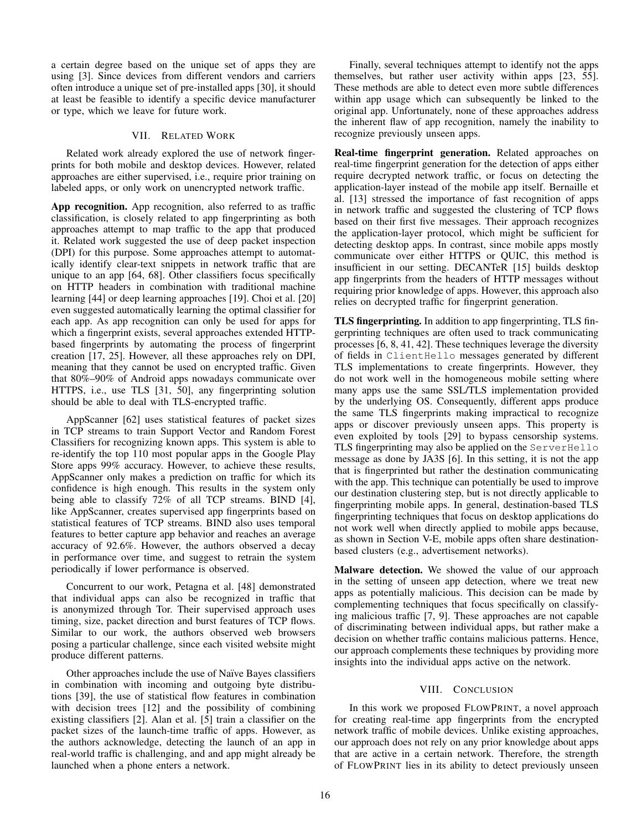a certain degree based on the unique set of apps they are using [\[3\]](#page-16-18). Since devices from different vendors and carriers often introduce a unique set of pre-installed apps [\[30\]](#page-17-6), it should at least be feasible to identify a specific device manufacturer or type, which we leave for future work.

## VII. RELATED WORK

Related work already explored the use of network fingerprints for both mobile and desktop devices. However, related approaches are either supervised, i.e., require prior training on labeled apps, or only work on unencrypted network traffic.

App recognition. App recognition, also referred to as traffic classification, is closely related to app fingerprinting as both approaches attempt to map traffic to the app that produced it. Related work suggested the use of deep packet inspection (DPI) for this purpose. Some approaches attempt to automatically identify clear-text snippets in network traffic that are unique to an app [\[64,](#page-17-31) [68\]](#page-17-32). Other classifiers focus specifically on HTTP headers in combination with traditional machine learning [\[44\]](#page-17-33) or deep learning approaches [\[19\]](#page-16-19). Choi et al. [\[20\]](#page-16-20) even suggested automatically learning the optimal classifier for each app. As app recognition can only be used for apps for which a fingerprint exists, several approaches extended HTTPbased fingerprints by automating the process of fingerprint creation [\[17,](#page-16-3) [25\]](#page-16-4). However, all these approaches rely on DPI, meaning that they cannot be used on encrypted traffic. Given that 80%–90% of Android apps nowadays communicate over HTTPS, i.e., use TLS [\[31,](#page-17-1) [50\]](#page-17-7), any fingerprinting solution should be able to deal with TLS-encrypted traffic.

AppScanner [\[62\]](#page-17-3) uses statistical features of packet sizes in TCP streams to train Support Vector and Random Forest Classifiers for recognizing known apps. This system is able to re-identify the top 110 most popular apps in the Google Play Store apps 99% accuracy. However, to achieve these results, AppScanner only makes a prediction on traffic for which its confidence is high enough. This results in the system only being able to classify 72% of all TCP streams. BIND [\[4\]](#page-16-1), like AppScanner, creates supervised app fingerprints based on statistical features of TCP streams. BIND also uses temporal features to better capture app behavior and reaches an average accuracy of 92.6%. However, the authors observed a decay in performance over time, and suggest to retrain the system periodically if lower performance is observed.

Concurrent to our work, Petagna et al. [\[48\]](#page-17-34) demonstrated that individual apps can also be recognized in traffic that is anonymized through Tor. Their supervised approach uses timing, size, packet direction and burst features of TCP flows. Similar to our work, the authors observed web browsers posing a particular challenge, since each visited website might produce different patterns.

Other approaches include the use of Naïve Bayes classifiers in combination with incoming and outgoing byte distributions [\[39\]](#page-17-35), the use of statistical flow features in combination with decision trees [\[12\]](#page-16-21) and the possibility of combining existing classifiers [\[2\]](#page-16-0). Alan et al. [\[5\]](#page-16-2) train a classifier on the packet sizes of the launch-time traffic of apps. However, as the authors acknowledge, detecting the launch of an app in real-world traffic is challenging, and and app might already be launched when a phone enters a network.

Finally, several techniques attempt to identify not the apps themselves, but rather user activity within apps [\[23,](#page-16-22) [55\]](#page-17-36). These methods are able to detect even more subtle differences within app usage which can subsequently be linked to the original app. Unfortunately, none of these approaches address the inherent flaw of app recognition, namely the inability to recognize previously unseen apps.

Real-time fingerprint generation. Related approaches on real-time fingerprint generation for the detection of apps either require decrypted network traffic, or focus on detecting the application-layer instead of the mobile app itself. Bernaille et al. [\[13\]](#page-16-23) stressed the importance of fast recognition of apps in network traffic and suggested the clustering of TCP flows based on their first five messages. Their approach recognizes the application-layer protocol, which might be sufficient for detecting desktop apps. In contrast, since mobile apps mostly communicate over either HTTPS or QUIC, this method is insufficient in our setting. DECANTeR [\[15\]](#page-16-14) builds desktop app fingerprints from the headers of HTTP messages without requiring prior knowledge of apps. However, this approach also relies on decrypted traffic for fingerprint generation.

TLS fingerprinting. In addition to app fingerprinting, TLS fingerprinting techniques are often used to track communicating processes [\[6,](#page-16-24) [8,](#page-16-25) [41,](#page-17-37) [42\]](#page-17-38). These techniques leverage the diversity of fields in ClientHello messages generated by different TLS implementations to create fingerprints. However, they do not work well in the homogeneous mobile setting where many apps use the same SSL/TLS implementation provided by the underlying OS. Consequently, different apps produce the same TLS fingerprints making impractical to recognize apps or discover previously unseen apps. This property is even exploited by tools [\[29\]](#page-17-39) to bypass censorship systems. TLS fingerprinting may also be applied on the ServerHello message as done by JA3S [\[6\]](#page-16-24). In this setting, it is not the app that is fingerprinted but rather the destination communicating with the app. This technique can potentially be used to improve our destination clustering step, but is not directly applicable to fingerprinting mobile apps. In general, destination-based TLS fingerprinting techniques that focus on desktop applications do not work well when directly applied to mobile apps because, as shown in Section [V-E,](#page-10-0) mobile apps often share destinationbased clusters (e.g., advertisement networks).

Malware detection. We showed the value of our approach in the setting of unseen app detection, where we treat new apps as potentially malicious. This decision can be made by complementing techniques that focus specifically on classifying malicious traffic [\[7,](#page-16-26) [9\]](#page-16-27). These approaches are not capable of discriminating between individual apps, but rather make a decision on whether traffic contains malicious patterns. Hence, our approach complements these techniques by providing more insights into the individual apps active on the network.

## VIII. CONCLUSION

In this work we proposed FLOWPRINT, a novel approach for creating real-time app fingerprints from the encrypted network traffic of mobile devices. Unlike existing approaches, our approach does not rely on any prior knowledge about apps that are active in a certain network. Therefore, the strength of FLOWPRINT lies in its ability to detect previously unseen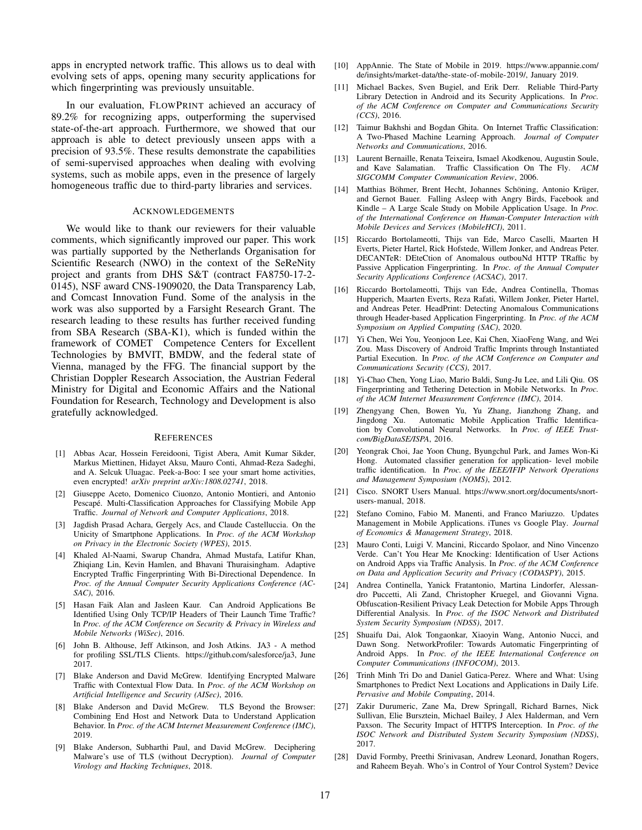apps in encrypted network traffic. This allows us to deal with evolving sets of apps, opening many security applications for which fingerprinting was previously unsuitable.

In our evaluation, FLOWPRINT achieved an accuracy of 89.2% for recognizing apps, outperforming the supervised state-of-the-art approach. Furthermore, we showed that our approach is able to detect previously unseen apps with a precision of 93.5%. These results demonstrate the capabilities of semi-supervised approaches when dealing with evolving systems, such as mobile apps, even in the presence of largely homogeneous traffic due to third-party libraries and services.

# ACKNOWLEDGEMENTS

We would like to thank our reviewers for their valuable comments, which significantly improved our paper. This work was partially supported by the Netherlands Organisation for Scientific Research (NWO) in the context of the SeReNity project and grants from DHS S&T (contract FA8750-17-2- 0145), NSF award CNS-1909020, the Data Transparency Lab, and Comcast Innovation Fund. Some of the analysis in the work was also supported by a Farsight Research Grant. The research leading to these results has further received funding from SBA Research (SBA-K1), which is funded within the framework of COMET Competence Centers for Excellent Technologies by BMVIT, BMDW, and the federal state of Vienna, managed by the FFG. The financial support by the Christian Doppler Research Association, the Austrian Federal Ministry for Digital and Economic Affairs and the National Foundation for Research, Technology and Development is also gratefully acknowledged.

#### **REFERENCES**

- <span id="page-16-7"></span>[1] Abbas Acar, Hossein Fereidooni, Tigist Abera, Amit Kumar Sikder, Markus Miettinen, Hidayet Aksu, Mauro Conti, Ahmad-Reza Sadeghi, and A. Selcuk Uluagac. Peek-a-Boo: I see your smart home activities, even encrypted! *arXiv preprint arXiv:1808.02741*, 2018.
- <span id="page-16-0"></span>[2] Giuseppe Aceto, Domenico Ciuonzo, Antonio Montieri, and Antonio Pescapé. Multi-Classification Approaches for Classifying Mobile App Traffic. *Journal of Network and Computer Applications*, 2018.
- <span id="page-16-18"></span>[3] Jagdish Prasad Achara, Gergely Acs, and Claude Castelluccia. On the Unicity of Smartphone Applications. In *Proc. of the ACM Workshop on Privacy in the Electronic Society (WPES)*, 2015.
- <span id="page-16-1"></span>[4] Khaled Al-Naami, Swarup Chandra, Ahmad Mustafa, Latifur Khan, Zhiqiang Lin, Kevin Hamlen, and Bhavani Thuraisingham. Adaptive Encrypted Traffic Fingerprinting With Bi-Directional Dependence. In *Proc. of the Annual Computer Security Applications Conference (AC-SAC)*, 2016.
- <span id="page-16-2"></span>[5] Hasan Faik Alan and Jasleen Kaur. Can Android Applications Be Identified Using Only TCP/IP Headers of Their Launch Time Traffic? In *Proc. of the ACM Conference on Security & Privacy in Wireless and Mobile Networks (WiSec)*, 2016.
- <span id="page-16-24"></span>[6] John B. Althouse, Jeff Atkinson, and Josh Atkins. JA3 - A method for profiling SSL/TLS Clients. [https://github.com/salesforce/ja3,](https://github.com/salesforce/ja3) June 2017.
- <span id="page-16-26"></span>[7] Blake Anderson and David McGrew. Identifying Encrypted Malware Traffic with Contextual Flow Data. In *Proc. of the ACM Workshop on Artificial Intelligence and Security (AISec)*, 2016.
- <span id="page-16-25"></span>[8] Blake Anderson and David McGrew. TLS Beyond the Browser: Combining End Host and Network Data to Understand Application Behavior. In *Proc. of the ACM Internet Measurement Conference (IMC)*, 2019.
- <span id="page-16-27"></span>[9] Blake Anderson, Subharthi Paul, and David McGrew. Deciphering Malware's use of TLS (without Decryption). *Journal of Computer Virology and Hacking Techniques*, 2018.
- <span id="page-16-13"></span>[10] AppAnnie. The State of Mobile in 2019. [https://www.appannie.com/](https://www.appannie.com/de/insights/market-data/the-state-of-mobile-2019/) [de/insights/market-data/the-state-of-mobile-2019/,](https://www.appannie.com/de/insights/market-data/the-state-of-mobile-2019/) January 2019.
- <span id="page-16-6"></span>[11] Michael Backes, Sven Bugiel, and Erik Derr. Reliable Third-Party Library Detection in Android and its Security Applications. In *Proc. of the ACM Conference on Computer and Communications Security (CCS)*, 2016.
- <span id="page-16-21"></span>[12] Taimur Bakhshi and Bogdan Ghita. On Internet Traffic Classification: A Two-Phased Machine Learning Approach. *Journal of Computer Networks and Communications*, 2016.
- <span id="page-16-23"></span>[13] Laurent Bernaille, Renata Teixeira, Ismael Akodkenou, Augustin Soule, and Kave Salamatian. Traffic Classification On The Fly. *ACM SIGCOMM Computer Communication Review*, 2006.
- <span id="page-16-10"></span>[14] Matthias Böhmer, Brent Hecht, Johannes Schöning, Antonio Krüger, and Gernot Bauer. Falling Asleep with Angry Birds, Facebook and Kindle – A Large Scale Study on Mobile Application Usage. In *Proc. of the International Conference on Human-Computer Interaction with Mobile Devices and Services (MobileHCI)*, 2011.
- <span id="page-16-14"></span>[15] Riccardo Bortolameotti, Thijs van Ede, Marco Caselli, Maarten H Everts, Pieter Hartel, Rick Hofstede, Willem Jonker, and Andreas Peter. DECANTeR: DEteCtion of Anomalous outbouNd HTTP TRaffic by Passive Application Fingerprinting. In *Proc. of the Annual Computer Security Applications Conference (ACSAC)*, 2017.
- <span id="page-16-15"></span>[16] Riccardo Bortolameotti, Thijs van Ede, Andrea Continella, Thomas Hupperich, Maarten Everts, Reza Rafati, Willem Jonker, Pieter Hartel, and Andreas Peter. HeadPrint: Detecting Anomalous Communications through Header-based Application Fingerprinting. In *Proc. of the ACM Symposium on Applied Computing (SAC)*, 2020.
- <span id="page-16-3"></span>[17] Yi Chen, Wei You, Yeonjoon Lee, Kai Chen, XiaoFeng Wang, and Wei Zou. Mass Discovery of Android Traffic Imprints through Instantiated Partial Execution. In *Proc. of the ACM Conference on Computer and Communications Security (CCS)*, 2017.
- <span id="page-16-12"></span>[18] Yi-Chao Chen, Yong Liao, Mario Baldi, Sung-Ju Lee, and Lili Qiu. OS Fingerprinting and Tethering Detection in Mobile Networks. In *Proc. of the ACM Internet Measurement Conference (IMC)*, 2014.
- <span id="page-16-19"></span>[19] Zhengyang Chen, Bowen Yu, Yu Zhang, Jianzhong Zhang, and Jingdong Xu. Automatic Mobile Application Traffic Identification by Convolutional Neural Networks. In *Proc. of IEEE Trustcom/BigDataSE/ISPA*, 2016.
- <span id="page-16-20"></span>[20] Yeongrak Choi, Jae Yoon Chung, Byungchul Park, and James Won-Ki Hong. Automated classifier generation for application- level mobile traffic identification. In *Proc. of the IEEE/IFIP Network Operations and Management Symposium (NOMS)*, 2012.
- <span id="page-16-5"></span>[21] Cisco. SNORT Users Manual. [https://www.snort.org/documents/snort](https://www.snort.org/documents/snort-users-manual)[users-manual,](https://www.snort.org/documents/snort-users-manual) 2018.
- <span id="page-16-9"></span>[22] Stefano Comino, Fabio M. Manenti, and Franco Mariuzzo. Updates Management in Mobile Applications. iTunes vs Google Play. *Journal of Economics & Management Strategy*, 2018.
- <span id="page-16-22"></span>[23] Mauro Conti, Luigi V. Mancini, Riccardo Spolaor, and Nino Vincenzo Verde. Can't You Hear Me Knocking: Identification of User Actions on Android Apps via Traffic Analysis. In *Proc. of the ACM Conference on Data and Application Security and Privacy (CODASPY)*, 2015.
- <span id="page-16-16"></span>[24] Andrea Continella, Yanick Fratantonio, Martina Lindorfer, Alessandro Puccetti, Ali Zand, Christopher Kruegel, and Giovanni Vigna. Obfuscation-Resilient Privacy Leak Detection for Mobile Apps Through Differential Analysis. In *Proc. of the ISOC Network and Distributed System Security Symposium (NDSS)*, 2017.
- <span id="page-16-4"></span>[25] Shuaifu Dai, Alok Tongaonkar, Xiaoyin Wang, Antonio Nucci, and Dawn Song. NetworkProfiler: Towards Automatic Fingerprinting of Android Apps. In *Proc. of the IEEE International Conference on Computer Communications (INFOCOM)*, 2013.
- <span id="page-16-11"></span>[26] Trinh Minh Tri Do and Daniel Gatica-Perez. Where and What: Using Smartphones to Predict Next Locations and Applications in Daily Life. *Pervasive and Mobile Computing*, 2014.
- <span id="page-16-17"></span>[27] Zakir Durumeric, Zane Ma, Drew Springall, Richard Barnes, Nick Sullivan, Elie Bursztein, Michael Bailey, J Alex Halderman, and Vern Paxson. The Security Impact of HTTPS Interception. In *Proc. of the ISOC Network and Distributed System Security Symposium (NDSS)*, 2017.
- <span id="page-16-8"></span>[28] David Formby, Preethi Srinivasan, Andrew Leonard, Jonathan Rogers, and Raheem Beyah. Who's in Control of Your Control System? Device